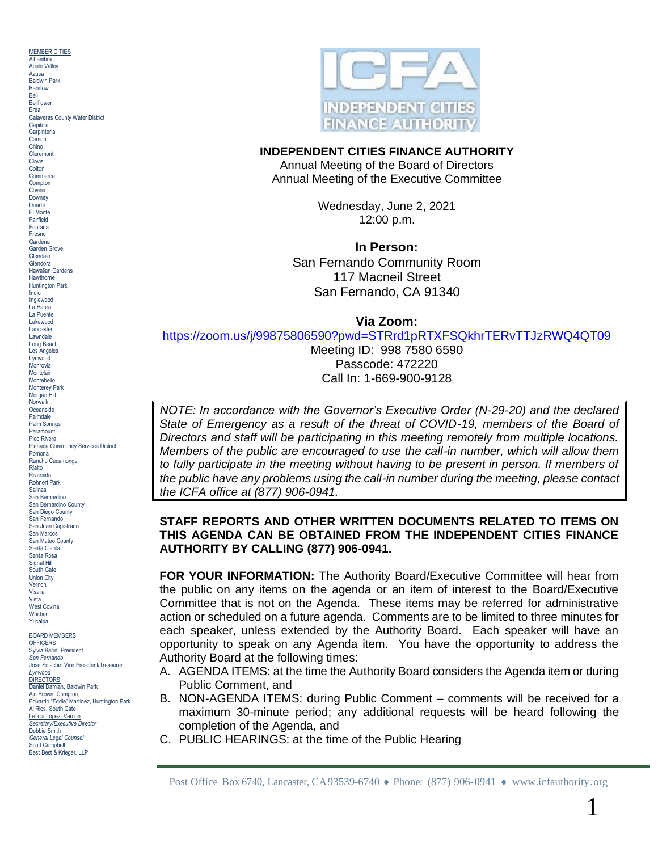MEMBER CITIES **Alhambra** Apple Valley Azusa Baldwin Park **Barstow** Bell Bellflower Brea Calaveras County Water District **Capitola Carpinteria** Carson Chino Claremont Clovis **Colton Commerce** Compton Covina Downey Duarte El Monte Fairfield Fontana Fresno Gardena Garden Grove **Glendale** Glendora Hawaiian Gardens **Hawthorne** Huntington Park Indio Inglewood La Habra La Puente Lakewood Lancaster Lawndale Long Beach Los Angeles Lynwood Monrovia **Montclair** Montebello Monterey Park Morgan Hill **Norwalk Oceanside** Palmdale Palm Springs **Paramount** Pico Rivera Planada Community Services District Pomona Rancho Cucamonga Rialto **Riverside** Rohnert Park Salinas San Bernardino San Bernardino County San Diego County San Fernando San Juan Capistrano San Marcos San Mateo County Santa Clarita Santa Rosa Signal Hill South Gate Union City Vernon Visalia Vista West Covina Whittier Yucaipa BOARD MEMBERS

**OFFICERS** Sylvia Ballin, President *San Fernando* Jose Solache, Vice President/Treasurer *Lynwood* DIRECTORS Daniel Damian, Baldwin Park Aja Brown, Compton Eduardo "Eddie" Martinez, Huntington Park Al Rios, South Gate Leticia Lopez, Vernon *Secretary/Executive Director* Debbie Smith *General Legal Counsel* Scott Campbell Best Best & Krieger, LLP



#### **INDEPENDENT CITIES FINANCE AUTHORITY**

Annual Meeting of the Board of Directors Annual Meeting of the Executive Committee

> Wednesday, June 2, 2021 12:00 p.m.

#### **In Person:**

San Fernando Community Room 117 Macneil Street San Fernando, CA 91340

#### **Via Zoom:**

<https://zoom.us/j/99875806590?pwd=STRrd1pRTXFSQkhrTERvTTJzRWQ4QT09>

Meeting ID: 998 7580 6590 Passcode: 472220 Call In: 1-669-900-9128

*NOTE: In accordance with the Governor's Executive Order (N-29-20) and the declared State of Emergency as a result of the threat of COVID-19, members of the Board of Directors and staff will be participating in this meeting remotely from multiple locations. Members of the public are encouraged to use the call-in number, which will allow them*  to fully participate in the meeting without having to be present in person. If members of *the public have any problems using the call-in number during the meeting, please contact the ICFA office at (877) 906-0941.*

#### **STAFF REPORTS AND OTHER WRITTEN DOCUMENTS RELATED TO ITEMS ON THIS AGENDA CAN BE OBTAINED FROM THE INDEPENDENT CITIES FINANCE AUTHORITY BY CALLING (877) 906-0941.**

**FOR YOUR INFORMATION:** The Authority Board/Executive Committee will hear from the public on any items on the agenda or an item of interest to the Board/Executive Committee that is not on the Agenda. These items may be referred for administrative action or scheduled on a future agenda. Comments are to be limited to three minutes for each speaker, unless extended by the Authority Board. Each speaker will have an opportunity to speak on any Agenda item. You have the opportunity to address the Authority Board at the following times:

- A. AGENDA ITEMS: at the time the Authority Board considers the Agenda item or during Public Comment, and
- B. NON-AGENDA ITEMS: during Public Comment comments will be received for a maximum 30-minute period; any additional requests will be heard following the completion of the Agenda, and
- C. PUBLIC HEARINGS: at the time of the Public Hearing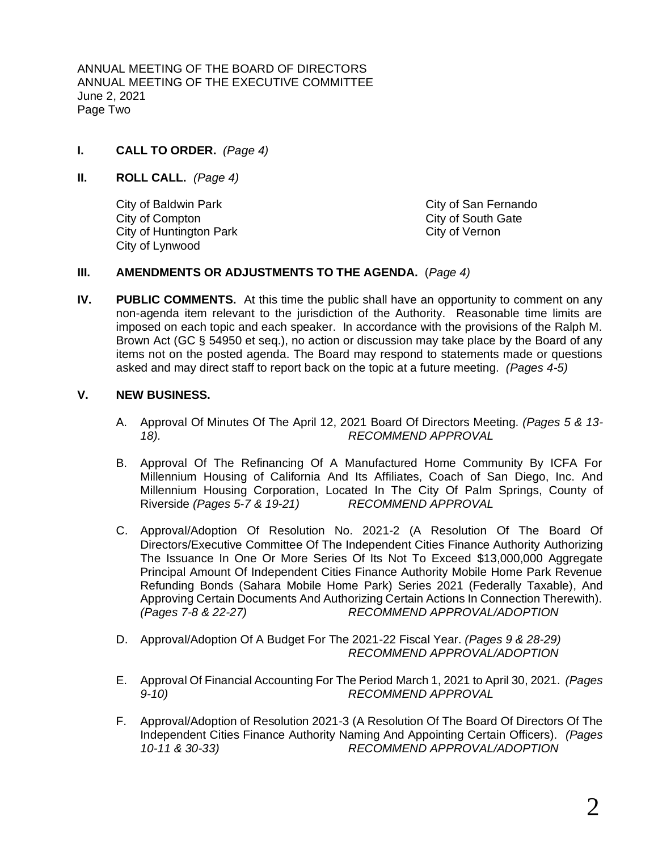ANNUAL MEETING OF THE BOARD OF DIRECTORS ANNUAL MEETING OF THE EXECUTIVE COMMITTEE June 2, 2021 Page Two

- **I. CALL TO ORDER.** *(Page 4)*
- **II. ROLL CALL.** *(Page 4)*

City of Baldwin Park City of San Fernando City of Compton City of South Gate City of Huntington Park City of Vernon City of Lynwood

#### **III. AMENDMENTS OR ADJUSTMENTS TO THE AGENDA.** (*Page 4)*

**IV. PUBLIC COMMENTS.** At this time the public shall have an opportunity to comment on any non-agenda item relevant to the jurisdiction of the Authority. Reasonable time limits are imposed on each topic and each speaker. In accordance with the provisions of the Ralph M. Brown Act (GC § 54950 et seq.), no action or discussion may take place by the Board of any items not on the posted agenda. The Board may respond to statements made or questions asked and may direct staff to report back on the topic at a future meeting. *(Pages 4-5)*

#### **V. NEW BUSINESS.**

- A. Approval Of Minutes Of The April 12, 2021 Board Of Directors Meeting. *(Pages 5 & 13- 18). RECOMMEND APPROVAL*
- B. Approval Of The Refinancing Of A Manufactured Home Community By ICFA For Millennium Housing of California And Its Affiliates, Coach of San Diego, Inc. And Millennium Housing Corporation, Located In The City Of Palm Springs, County of Riverside *(Pages 5-7 & 19-21) RECOMMEND APPROVAL*
- C. Approval/Adoption Of Resolution No. 2021-2 (A Resolution Of The Board Of Directors/Executive Committee Of The Independent Cities Finance Authority Authorizing The Issuance In One Or More Series Of Its Not To Exceed \$13,000,000 Aggregate Principal Amount Of Independent Cities Finance Authority Mobile Home Park Revenue Refunding Bonds (Sahara Mobile Home Park) Series 2021 (Federally Taxable), And Approving Certain Documents And Authorizing Certain Actions In Connection Therewith). *(Pages 7-8 & 22-27) RECOMMEND APPROVAL/ADOPTION*
- D. Approval/Adoption Of A Budget For The 2021-22 Fiscal Year. *(Pages 9 & 28-29) RECOMMEND APPROVAL/ADOPTION*
- E. Approval Of Financial Accounting For The Period March 1, 2021 to April 30, 2021. *(Pages 9-10) RECOMMEND APPROVAL*
- F. Approval/Adoption of Resolution 2021-3 (A Resolution Of The Board Of Directors Of The Independent Cities Finance Authority Naming And Appointing Certain Officers). *(Pages 10-11 & 30-33) RECOMMEND APPROVAL/ADOPTION*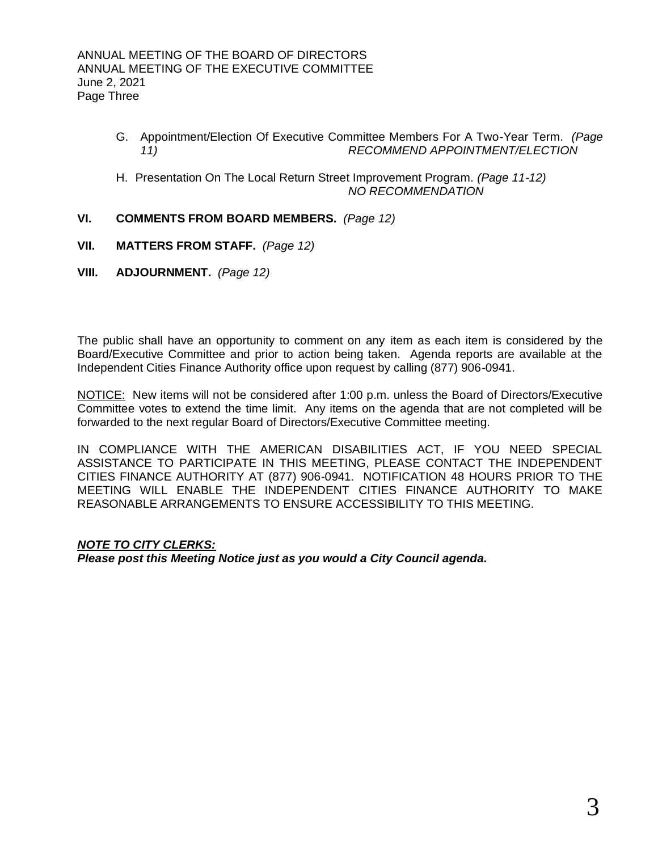- G. Appointment/Election Of Executive Committee Members For A Two-Year Term. *(Page 11) RECOMMEND APPOINTMENT/ELECTION*
- H. Presentation On The Local Return Street Improvement Program. *(Page 11-12) NO RECOMMENDATION*
- **VI. COMMENTS FROM BOARD MEMBERS.** *(Page 12)*
- **VII. MATTERS FROM STAFF.** *(Page 12)*
- **VIII. ADJOURNMENT.** *(Page 12)*

The public shall have an opportunity to comment on any item as each item is considered by the Board/Executive Committee and prior to action being taken. Agenda reports are available at the Independent Cities Finance Authority office upon request by calling (877) 906-0941.

NOTICE: New items will not be considered after 1:00 p.m. unless the Board of Directors/Executive Committee votes to extend the time limit. Any items on the agenda that are not completed will be forwarded to the next regular Board of Directors/Executive Committee meeting.

IN COMPLIANCE WITH THE AMERICAN DISABILITIES ACT, IF YOU NEED SPECIAL ASSISTANCE TO PARTICIPATE IN THIS MEETING, PLEASE CONTACT THE INDEPENDENT CITIES FINANCE AUTHORITY AT (877) 906-0941. NOTIFICATION 48 HOURS PRIOR TO THE MEETING WILL ENABLE THE INDEPENDENT CITIES FINANCE AUTHORITY TO MAKE REASONABLE ARRANGEMENTS TO ENSURE ACCESSIBILITY TO THIS MEETING.

## *NOTE TO CITY CLERKS:*

*Please post this Meeting Notice just as you would a City Council agenda.*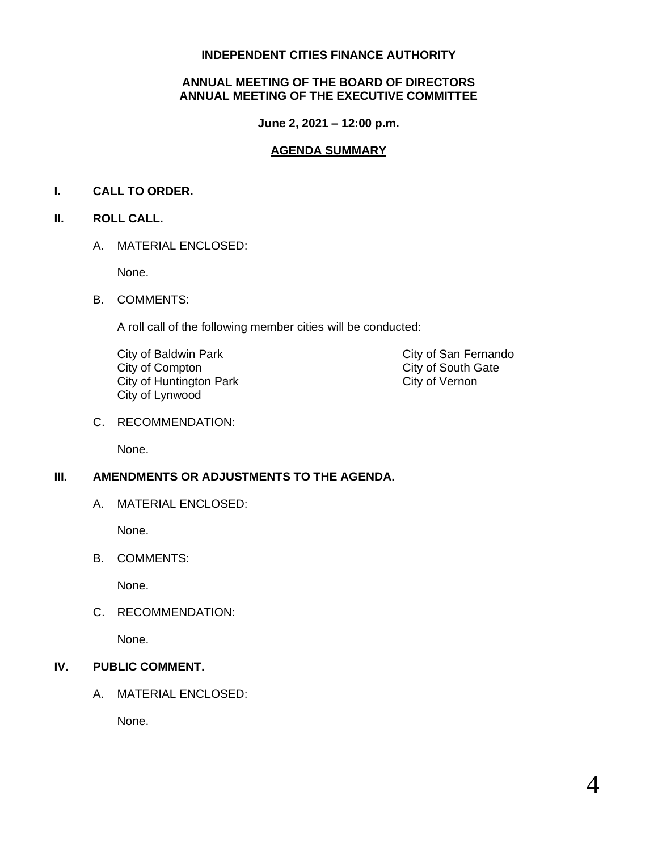#### **INDEPENDENT CITIES FINANCE AUTHORITY**

## **ANNUAL MEETING OF THE BOARD OF DIRECTORS ANNUAL MEETING OF THE EXECUTIVE COMMITTEE**

**June 2, 2021 – 12:00 p.m.**

## **AGENDA SUMMARY**

## **I. CALL TO ORDER.**

## **II. ROLL CALL.**

A. MATERIAL ENCLOSED:

None.

B. COMMENTS:

A roll call of the following member cities will be conducted:

City of Baldwin Park City of San Fernando<br>City of Compton City of South Gate City of Huntington Park City of Lynwood

City of South Gate<br>City of Vernon

C. RECOMMENDATION:

None.

## **III. AMENDMENTS OR ADJUSTMENTS TO THE AGENDA.**

A. MATERIAL ENCLOSED:

None.

B. COMMENTS:

None.

C. RECOMMENDATION:

None.

## **IV. PUBLIC COMMENT.**

A. MATERIAL ENCLOSED:

None.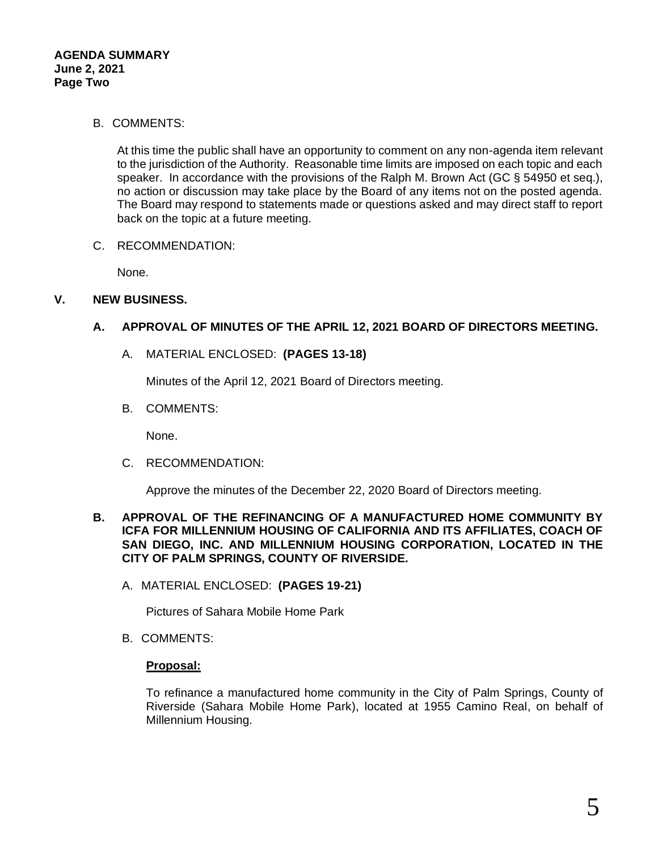#### B. COMMENTS:

At this time the public shall have an opportunity to comment on any non-agenda item relevant to the jurisdiction of the Authority. Reasonable time limits are imposed on each topic and each speaker. In accordance with the provisions of the Ralph M. Brown Act (GC § 54950 et seq.), no action or discussion may take place by the Board of any items not on the posted agenda. The Board may respond to statements made or questions asked and may direct staff to report back on the topic at a future meeting.

C. RECOMMENDATION:

None.

## **V. NEW BUSINESS.**

## **A. APPROVAL OF MINUTES OF THE APRIL 12, 2021 BOARD OF DIRECTORS MEETING.**

A. MATERIAL ENCLOSED: **(PAGES 13-18)**

Minutes of the April 12, 2021 Board of Directors meeting.

B. COMMENTS:

None.

C. RECOMMENDATION:

Approve the minutes of the December 22, 2020 Board of Directors meeting.

#### **B. APPROVAL OF THE REFINANCING OF A MANUFACTURED HOME COMMUNITY BY ICFA FOR MILLENNIUM HOUSING OF CALIFORNIA AND ITS AFFILIATES, COACH OF SAN DIEGO, INC. AND MILLENNIUM HOUSING CORPORATION, LOCATED IN THE CITY OF PALM SPRINGS, COUNTY OF RIVERSIDE.**

A. MATERIAL ENCLOSED: **(PAGES 19-21)**

Pictures of Sahara Mobile Home Park

B. COMMENTS:

#### **Proposal:**

To refinance a manufactured home community in the City of Palm Springs, County of Riverside (Sahara Mobile Home Park), located at 1955 Camino Real, on behalf of Millennium Housing.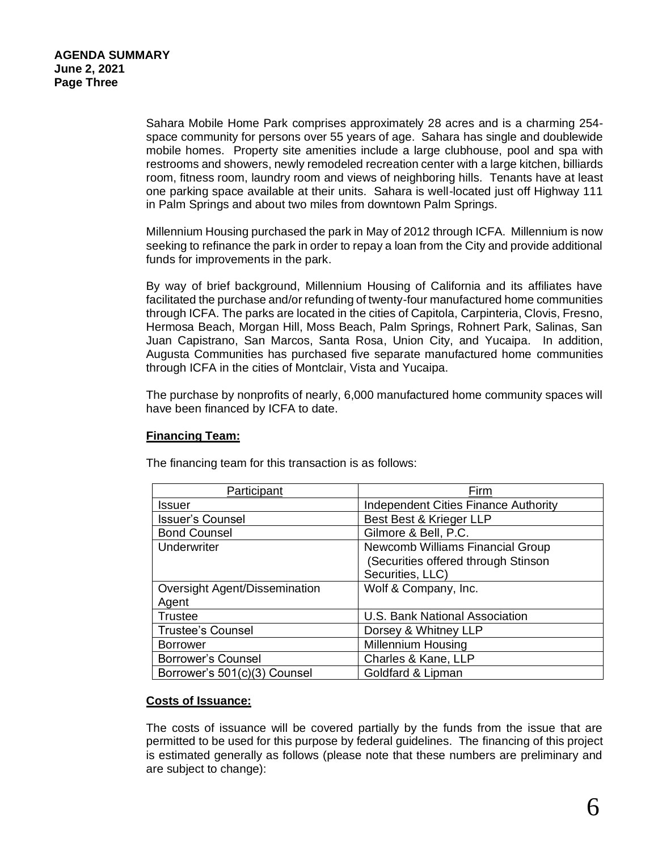Sahara Mobile Home Park comprises approximately 28 acres and is a charming 254 space community for persons over 55 years of age. Sahara has single and doublewide mobile homes. Property site amenities include a large clubhouse, pool and spa with restrooms and showers, newly remodeled recreation center with a large kitchen, billiards room, fitness room, laundry room and views of neighboring hills. Tenants have at least one parking space available at their units. Sahara is well-located just off Highway 111 in Palm Springs and about two miles from downtown Palm Springs.

Millennium Housing purchased the park in May of 2012 through ICFA. Millennium is now seeking to refinance the park in order to repay a loan from the City and provide additional funds for improvements in the park.

By way of brief background, Millennium Housing of California and its affiliates have facilitated the purchase and/or refunding of twenty-four manufactured home communities through ICFA. The parks are located in the cities of Capitola, Carpinteria, Clovis, Fresno, Hermosa Beach, Morgan Hill, Moss Beach, Palm Springs, Rohnert Park, Salinas, San Juan Capistrano, San Marcos, Santa Rosa, Union City, and Yucaipa. In addition, Augusta Communities has purchased five separate manufactured home communities through ICFA in the cities of Montclair, Vista and Yucaipa.

The purchase by nonprofits of nearly, 6,000 manufactured home community spaces will have been financed by ICFA to date.

#### **Financing Team:**

The financing team for this transaction is as follows:

| Participant                   | Firm                                        |
|-------------------------------|---------------------------------------------|
| Issuer                        | <b>Independent Cities Finance Authority</b> |
| <b>Issuer's Counsel</b>       | Best Best & Krieger LLP                     |
| <b>Bond Counsel</b>           | Gilmore & Bell, P.C.                        |
| Underwriter                   | Newcomb Williams Financial Group            |
|                               | (Securities offered through Stinson         |
|                               | Securities, LLC)                            |
| Oversight Agent/Dissemination | Wolf & Company, Inc.                        |
| Agent                         |                                             |
| <b>Trustee</b>                | U.S. Bank National Association              |
| <b>Trustee's Counsel</b>      | Dorsey & Whitney LLP                        |
| <b>Borrower</b>               | <b>Millennium Housing</b>                   |
| <b>Borrower's Counsel</b>     | Charles & Kane, LLP                         |
| Borrower's 501(c)(3) Counsel  | Goldfard & Lipman                           |

#### **Costs of Issuance:**

The costs of issuance will be covered partially by the funds from the issue that are permitted to be used for this purpose by federal guidelines. The financing of this project is estimated generally as follows (please note that these numbers are preliminary and are subject to change):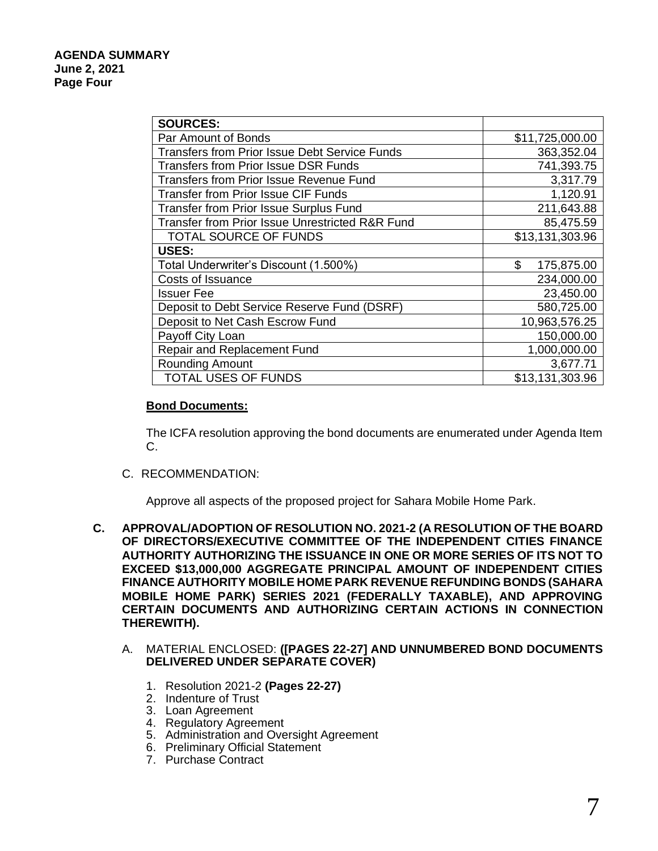| <b>SOURCES:</b>                                      |                  |
|------------------------------------------------------|------------------|
| Par Amount of Bonds                                  | \$11,725,000.00  |
| <b>Transfers from Prior Issue Debt Service Funds</b> | 363,352.04       |
| <b>Transfers from Prior Issue DSR Funds</b>          | 741,393.75       |
| Transfers from Prior Issue Revenue Fund              | 3,317.79         |
| <b>Transfer from Prior Issue CIF Funds</b>           | 1,120.91         |
| <b>Transfer from Prior Issue Surplus Fund</b>        | 211,643.88       |
| Transfer from Prior Issue Unrestricted R&R Fund      | 85,475.59        |
| <b>TOTAL SOURCE OF FUNDS</b>                         | \$13,131,303.96  |
| USES:                                                |                  |
| Total Underwriter's Discount (1.500%)                | \$<br>175,875.00 |
| Costs of Issuance                                    | 234,000.00       |
| <b>Issuer Fee</b>                                    | 23,450.00        |
| Deposit to Debt Service Reserve Fund (DSRF)          | 580,725.00       |
| Deposit to Net Cash Escrow Fund                      | 10,963,576.25    |
| Payoff City Loan                                     | 150,000.00       |
| <b>Repair and Replacement Fund</b>                   | 1,000,000.00     |
| <b>Rounding Amount</b>                               | 3,677.71         |
| <b>TOTAL USES OF FUNDS</b>                           | \$13,131,303.96  |

#### **Bond Documents:**

The ICFA resolution approving the bond documents are enumerated under Agenda Item C.

C. RECOMMENDATION:

Approve all aspects of the proposed project for Sahara Mobile Home Park.

**C. APPROVAL/ADOPTION OF RESOLUTION NO. 2021-2 (A RESOLUTION OF THE BOARD OF DIRECTORS/EXECUTIVE COMMITTEE OF THE INDEPENDENT CITIES FINANCE AUTHORITY AUTHORIZING THE ISSUANCE IN ONE OR MORE SERIES OF ITS NOT TO EXCEED \$13,000,000 AGGREGATE PRINCIPAL AMOUNT OF INDEPENDENT CITIES FINANCE AUTHORITY MOBILE HOME PARK REVENUE REFUNDING BONDS (SAHARA MOBILE HOME PARK) SERIES 2021 (FEDERALLY TAXABLE), AND APPROVING CERTAIN DOCUMENTS AND AUTHORIZING CERTAIN ACTIONS IN CONNECTION THEREWITH).**

#### A. MATERIAL ENCLOSED: **([PAGES 22-27] AND UNNUMBERED BOND DOCUMENTS DELIVERED UNDER SEPARATE COVER)**

- 1. Resolution 2021-2 **(Pages 22-27)**
- 2. Indenture of Trust
- 3. Loan Agreement
- 4. Regulatory Agreement
- 5. Administration and Oversight Agreement
- 6. Preliminary Official Statement
- 7. Purchase Contract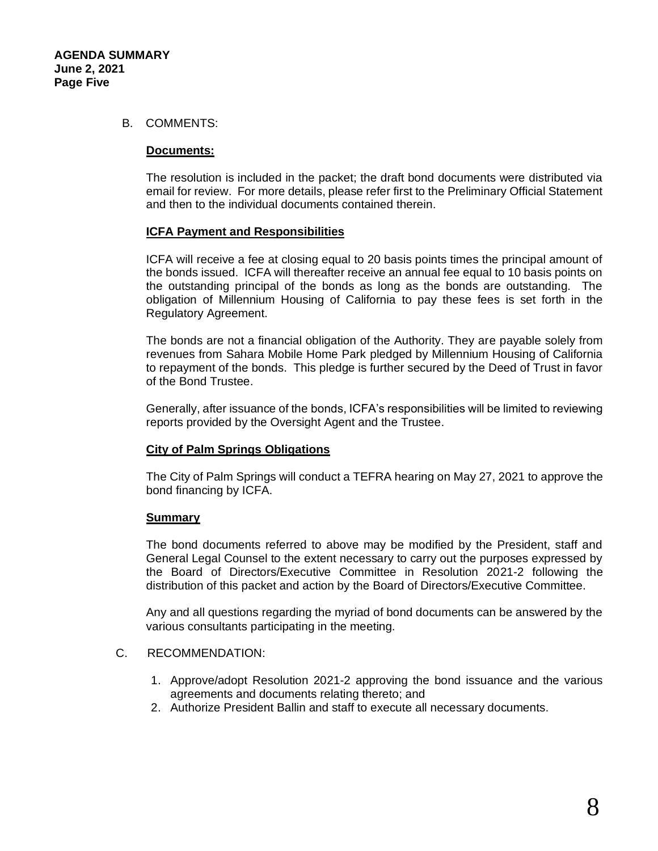#### B. COMMENTS:

#### **Documents:**

The resolution is included in the packet; the draft bond documents were distributed via email for review. For more details, please refer first to the Preliminary Official Statement and then to the individual documents contained therein.

#### **ICFA Payment and Responsibilities**

ICFA will receive a fee at closing equal to 20 basis points times the principal amount of the bonds issued. ICFA will thereafter receive an annual fee equal to 10 basis points on the outstanding principal of the bonds as long as the bonds are outstanding. The obligation of Millennium Housing of California to pay these fees is set forth in the Regulatory Agreement.

The bonds are not a financial obligation of the Authority. They are payable solely from revenues from Sahara Mobile Home Park pledged by Millennium Housing of California to repayment of the bonds. This pledge is further secured by the Deed of Trust in favor of the Bond Trustee.

Generally, after issuance of the bonds, ICFA's responsibilities will be limited to reviewing reports provided by the Oversight Agent and the Trustee.

#### **City of Palm Springs Obligations**

The City of Palm Springs will conduct a TEFRA hearing on May 27, 2021 to approve the bond financing by ICFA.

#### **Summary**

The bond documents referred to above may be modified by the President, staff and General Legal Counsel to the extent necessary to carry out the purposes expressed by the Board of Directors/Executive Committee in Resolution 2021-2 following the distribution of this packet and action by the Board of Directors/Executive Committee.

Any and all questions regarding the myriad of bond documents can be answered by the various consultants participating in the meeting.

## C. RECOMMENDATION:

- 1. Approve/adopt Resolution 2021-2 approving the bond issuance and the various agreements and documents relating thereto; and
- 2. Authorize President Ballin and staff to execute all necessary documents.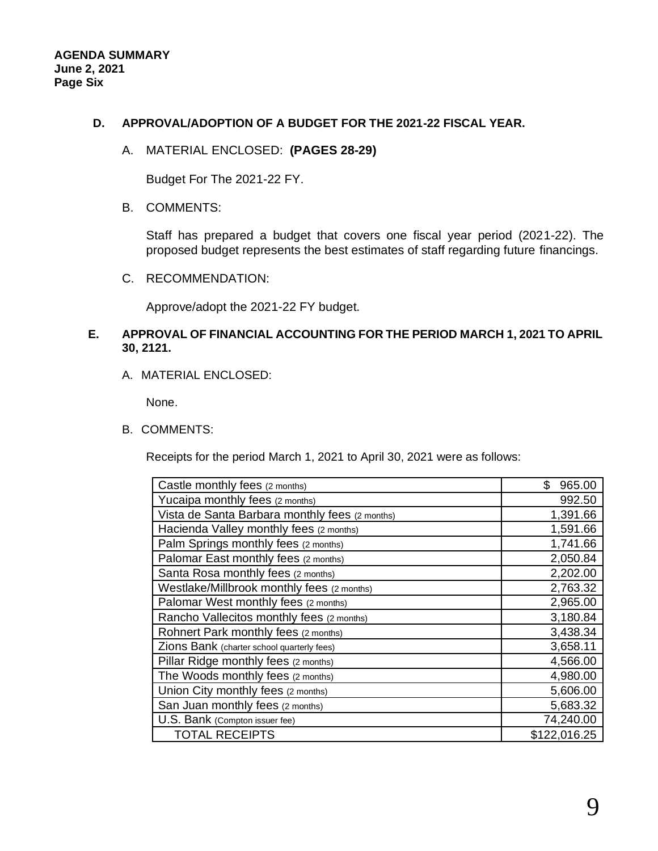## **D. APPROVAL/ADOPTION OF A BUDGET FOR THE 2021-22 FISCAL YEAR.**

A. MATERIAL ENCLOSED: **(PAGES 28-29)**

Budget For The 2021-22 FY.

B. COMMENTS:

Staff has prepared a budget that covers one fiscal year period (2021-22). The proposed budget represents the best estimates of staff regarding future financings.

C. RECOMMENDATION:

Approve/adopt the 2021-22 FY budget.

## **E. APPROVAL OF FINANCIAL ACCOUNTING FOR THE PERIOD MARCH 1, 2021 TO APRIL 30, 2121.**

A. MATERIAL ENCLOSED:

None.

B. COMMENTS:

Receipts for the period March 1, 2021 to April 30, 2021 were as follows:

| Castle monthly fees (2 months)                 | \$<br>965.00 |
|------------------------------------------------|--------------|
| Yucaipa monthly fees (2 months)                | 992.50       |
| Vista de Santa Barbara monthly fees (2 months) | 1,391.66     |
| Hacienda Valley monthly fees (2 months)        | 1,591.66     |
| Palm Springs monthly fees (2 months)           | 1,741.66     |
| Palomar East monthly fees (2 months)           | 2,050.84     |
| Santa Rosa monthly fees (2 months)             | 2,202.00     |
| Westlake/Millbrook monthly fees (2 months)     | 2,763.32     |
| Palomar West monthly fees (2 months)           | 2,965.00     |
| Rancho Vallecitos monthly fees (2 months)      | 3,180.84     |
| Rohnert Park monthly fees (2 months)           | 3,438.34     |
| Zions Bank (charter school quarterly fees)     | 3,658.11     |
| Pillar Ridge monthly fees (2 months)           | 4,566.00     |
| The Woods monthly fees (2 months)              | 4,980.00     |
| Union City monthly fees (2 months)             | 5,606.00     |
| San Juan monthly fees (2 months)               | 5,683.32     |
| U.S. Bank (Compton issuer fee)                 | 74,240.00    |
| <b>TOTAL RECEIPTS</b>                          | \$122,016.25 |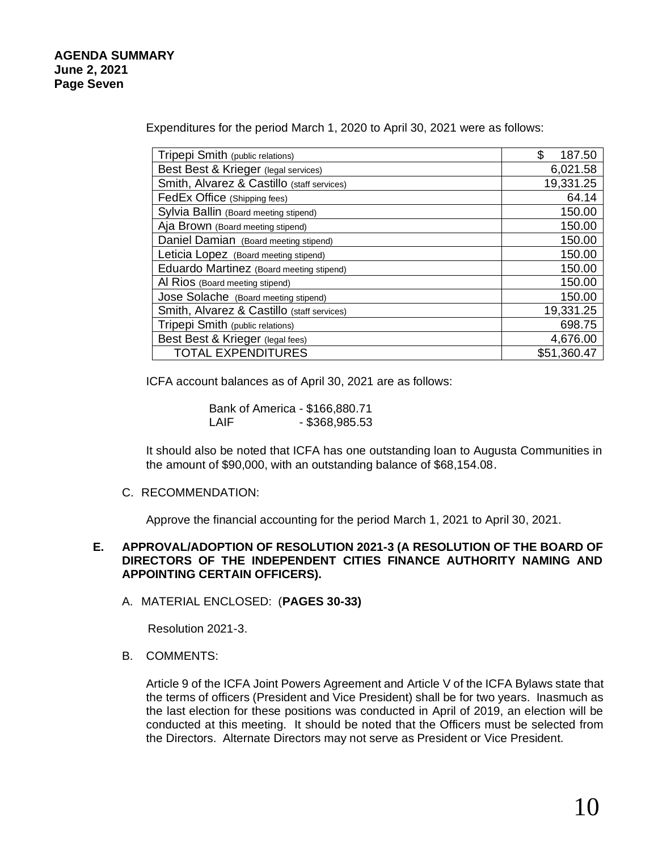Expenditures for the period March 1, 2020 to April 30, 2021 were as follows:

| Tripepi Smith (public relations)           | \$<br>187.50 |
|--------------------------------------------|--------------|
| Best Best & Krieger (legal services)       | 6,021.58     |
| Smith, Alvarez & Castillo (staff services) | 19,331.25    |
| FedEx Office (Shipping fees)               | 64.14        |
| Sylvia Ballin (Board meeting stipend)      | 150.00       |
| Aja Brown (Board meeting stipend)          | 150.00       |
| Daniel Damian (Board meeting stipend)      | 150.00       |
| Leticia Lopez (Board meeting stipend)      | 150.00       |
| Eduardo Martinez (Board meeting stipend)   | 150.00       |
| Al Rios (Board meeting stipend)            | 150.00       |
| Jose Solache (Board meeting stipend)       | 150.00       |
| Smith, Alvarez & Castillo (staff services) | 19,331.25    |
| Tripepi Smith (public relations)           | 698.75       |
| Best Best & Krieger (legal fees)           | 4,676.00     |
| <b>TOTAL EXPENDITURES</b>                  | \$51,360.47  |

ICFA account balances as of April 30, 2021 are as follows:

Bank of America - \$166,880.71 LAIF - \$368,985.53

It should also be noted that ICFA has one outstanding loan to Augusta Communities in the amount of \$90,000, with an outstanding balance of \$68,154.08.

#### C. RECOMMENDATION:

Approve the financial accounting for the period March 1, 2021 to April 30, 2021.

#### **E. APPROVAL/ADOPTION OF RESOLUTION 2021-3 (A RESOLUTION OF THE BOARD OF DIRECTORS OF THE INDEPENDENT CITIES FINANCE AUTHORITY NAMING AND APPOINTING CERTAIN OFFICERS).**

A. MATERIAL ENCLOSED: (**PAGES 30-33)**

Resolution 2021-3.

B. COMMENTS:

Article 9 of the ICFA Joint Powers Agreement and Article V of the ICFA Bylaws state that the terms of officers (President and Vice President) shall be for two years. Inasmuch as the last election for these positions was conducted in April of 2019, an election will be conducted at this meeting. It should be noted that the Officers must be selected from the Directors. Alternate Directors may not serve as President or Vice President.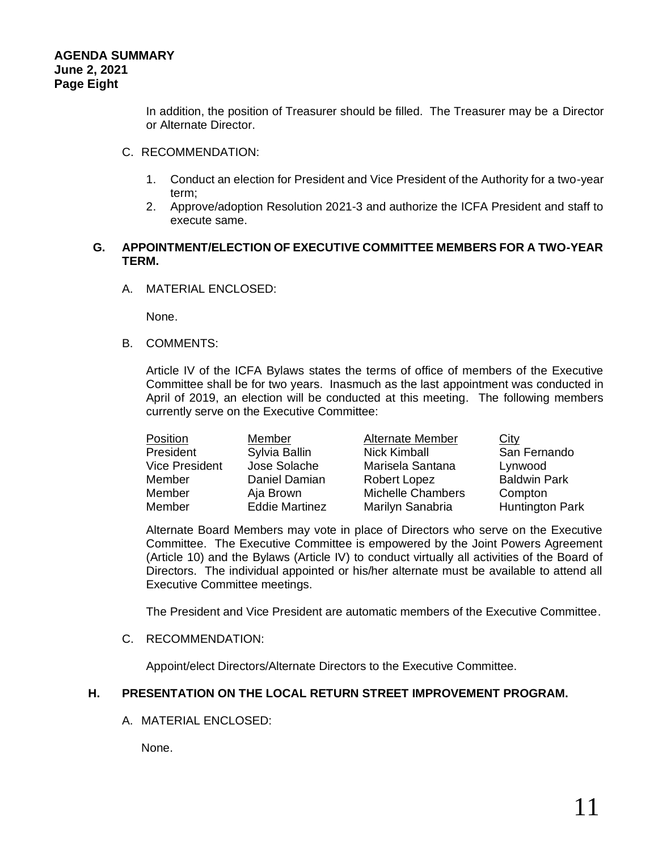In addition, the position of Treasurer should be filled. The Treasurer may be a Director or Alternate Director.

- C. RECOMMENDATION:
	- 1. Conduct an election for President and Vice President of the Authority for a two-year term;
	- 2. Approve/adoption Resolution 2021-3 and authorize the ICFA President and staff to execute same.

#### **G. APPOINTMENT/ELECTION OF EXECUTIVE COMMITTEE MEMBERS FOR A TWO-YEAR TERM.**

A. MATERIAL ENCLOSED:

None.

B. COMMENTS:

Article IV of the ICFA Bylaws states the terms of office of members of the Executive Committee shall be for two years. Inasmuch as the last appointment was conducted in April of 2019, an election will be conducted at this meeting. The following members currently serve on the Executive Committee:

| Position              | Member                | <b>Alternate Member</b>  | City                   |
|-----------------------|-----------------------|--------------------------|------------------------|
| President             | Sylvia Ballin         | <b>Nick Kimball</b>      | San Fernando           |
| <b>Vice President</b> | Jose Solache          | Marisela Santana         | Lynwood                |
| Member                | Daniel Damian         | Robert Lopez             | <b>Baldwin Park</b>    |
| Member                | Aja Brown             | <b>Michelle Chambers</b> | Compton                |
| Member                | <b>Eddie Martinez</b> | Marilyn Sanabria         | <b>Huntington Park</b> |

Alternate Board Members may vote in place of Directors who serve on the Executive Committee. The Executive Committee is empowered by the Joint Powers Agreement (Article 10) and the Bylaws (Article IV) to conduct virtually all activities of the Board of Directors. The individual appointed or his/her alternate must be available to attend all Executive Committee meetings.

The President and Vice President are automatic members of the Executive Committee.

#### C. RECOMMENDATION:

Appoint/elect Directors/Alternate Directors to the Executive Committee.

#### **H. PRESENTATION ON THE LOCAL RETURN STREET IMPROVEMENT PROGRAM.**

A. MATERIAL ENCLOSED:

None.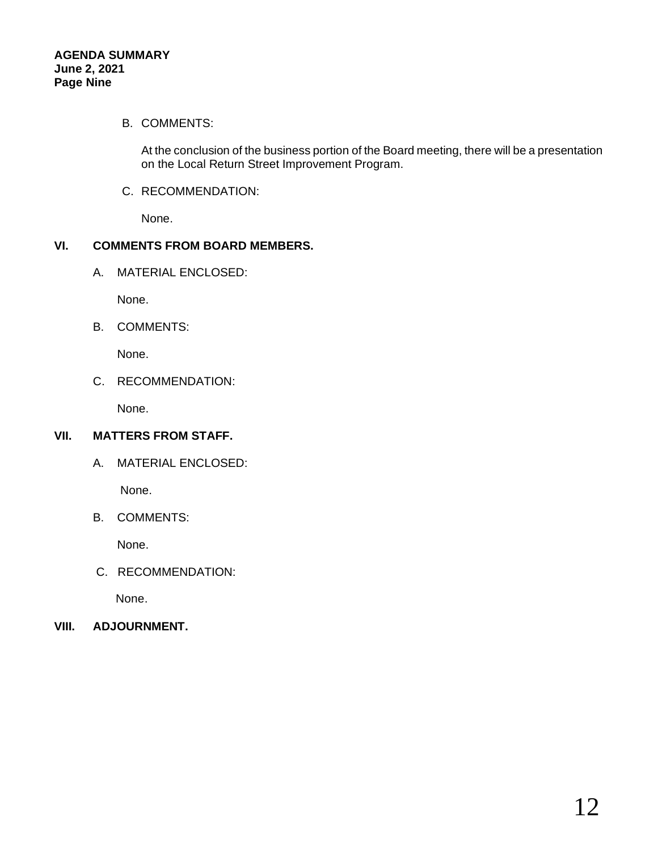#### B. COMMENTS:

At the conclusion of the business portion of the Board meeting, there will be a presentation on the Local Return Street Improvement Program.

C. RECOMMENDATION:

None.

## **VI. COMMENTS FROM BOARD MEMBERS.**

A. MATERIAL ENCLOSED:

None.

B. COMMENTS:

None.

C. RECOMMENDATION:

None.

## **VII. MATTERS FROM STAFF.**

A. MATERIAL ENCLOSED:

None.

B. COMMENTS:

None.

C. RECOMMENDATION:

None.

**VIII. ADJOURNMENT.**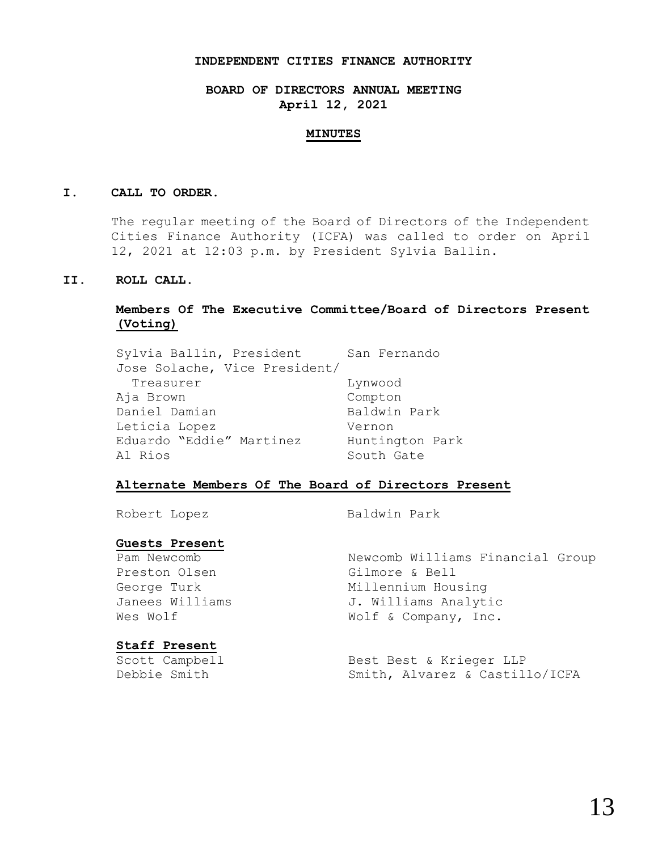#### **INDEPENDENT CITIES FINANCE AUTHORITY**

#### **BOARD OF DIRECTORS ANNUAL MEETING April 12, 2021**

#### **MINUTES**

#### **I. CALL TO ORDER.**

The regular meeting of the Board of Directors of the Independent Cities Finance Authority (ICFA) was called to order on April 12, 2021 at 12:03 p.m. by President Sylvia Ballin.

#### **II. ROLL CALL.**

#### **Members Of The Executive Committee/Board of Directors Present (Voting)**

| Sylvia Ballin, President      | San Fernando    |
|-------------------------------|-----------------|
| Jose Solache, Vice President/ |                 |
| Treasurer                     | Lynwood         |
| Aja Brown                     | Compton         |
| Daniel Damian                 | Baldwin Park    |
| Leticia Lopez                 | Vernon          |
| Eduardo "Eddie" Martinez      | Huntington Park |
| Al Rios                       | South Gate      |

#### **Alternate Members Of The Board of Directors Present**

## **Guests Present**

Preston Olsen Gilmore & Bell

#### Robert Lopez Baldwin Park

Pam Newcomb Newcomb Williams Financial Group George Turk Millennium Housing Janees Williams J. Williams Analytic Wes Wolf  $W$  Wolf & Company, Inc.

#### **Staff Present**

Scott Campbell Best Best & Krieger LLP Debbie Smith Smith, Alvarez & Castillo/ICFA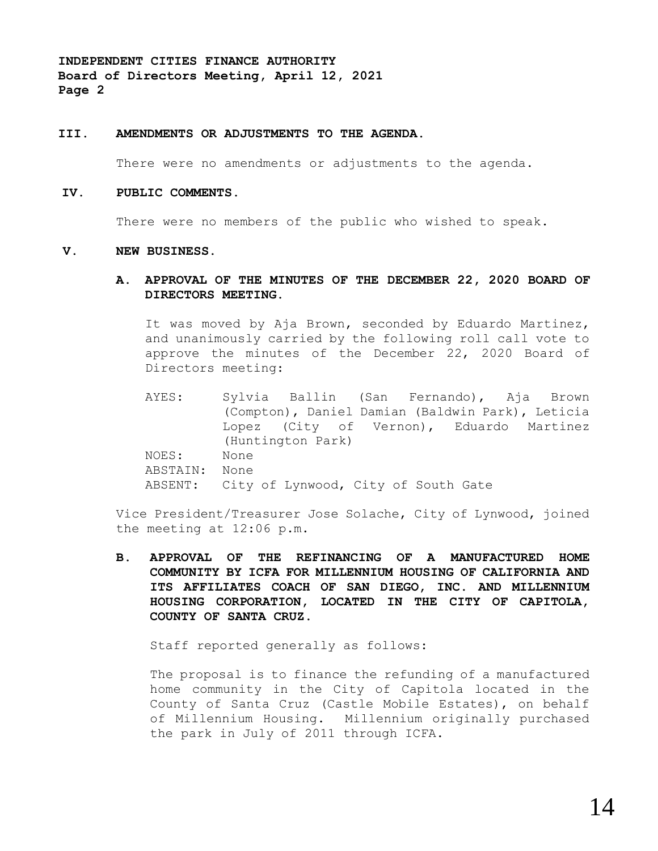**INDEPENDENT CITIES FINANCE AUTHORITY Board of Directors Meeting, April 12, 2021 Page 2**

#### **III. AMENDMENTS OR ADJUSTMENTS TO THE AGENDA.**

There were no amendments or adjustments to the agenda.

#### **IV. PUBLIC COMMENTS.**

There were no members of the public who wished to speak.

#### **V. NEW BUSINESS.**

#### **A. APPROVAL OF THE MINUTES OF THE DECEMBER 22, 2020 BOARD OF DIRECTORS MEETING.**

It was moved by Aja Brown, seconded by Eduardo Martinez, and unanimously carried by the following roll call vote to approve the minutes of the December 22, 2020 Board of Directors meeting:

AYES: Sylvia Ballin (San Fernando), Aja Brown (Compton), Daniel Damian (Baldwin Park), Leticia Lopez (City of Vernon), Eduardo Martinez (Huntington Park) NOES: None ABSTAIN: None ABSENT: City of Lynwood, City of South Gate

Vice President/Treasurer Jose Solache, City of Lynwood, joined the meeting at 12:06 p.m.

**B. APPROVAL OF THE REFINANCING OF A MANUFACTURED HOME COMMUNITY BY ICFA FOR MILLENNIUM HOUSING OF CALIFORNIA AND ITS AFFILIATES COACH OF SAN DIEGO, INC. AND MILLENNIUM HOUSING CORPORATION, LOCATED IN THE CITY OF CAPITOLA, COUNTY OF SANTA CRUZ.**

Staff reported generally as follows:

The proposal is to finance the refunding of a manufactured home community in the City of Capitola located in the County of Santa Cruz (Castle Mobile Estates), on behalf of Millennium Housing. Millennium originally purchased the park in July of 2011 through ICFA.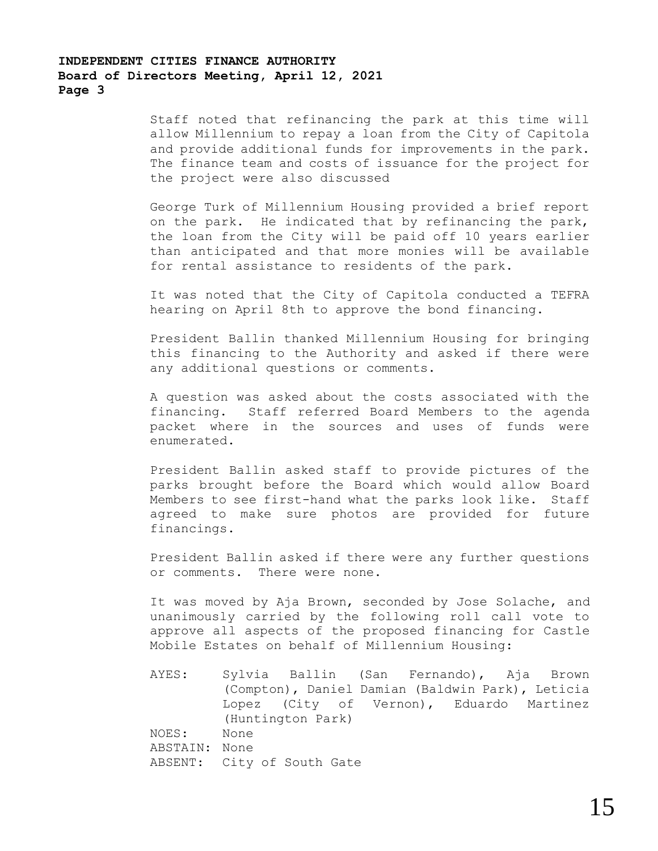## **INDEPENDENT CITIES FINANCE AUTHORITY Board of Directors Meeting, April 12, 2021 Page 3**

Staff noted that refinancing the park at this time will allow Millennium to repay a loan from the City of Capitola and provide additional funds for improvements in the park. The finance team and costs of issuance for the project for the project were also discussed

George Turk of Millennium Housing provided a brief report on the park. He indicated that by refinancing the park, the loan from the City will be paid off 10 years earlier than anticipated and that more monies will be available for rental assistance to residents of the park.

It was noted that the City of Capitola conducted a TEFRA hearing on April 8th to approve the bond financing.

President Ballin thanked Millennium Housing for bringing this financing to the Authority and asked if there were any additional questions or comments.

A question was asked about the costs associated with the financing. Staff referred Board Members to the agenda packet where in the sources and uses of funds were enumerated.

President Ballin asked staff to provide pictures of the parks brought before the Board which would allow Board Members to see first-hand what the parks look like. Staff agreed to make sure photos are provided for future financings.

President Ballin asked if there were any further questions or comments. There were none.

It was moved by Aja Brown, seconded by Jose Solache, and unanimously carried by the following roll call vote to approve all aspects of the proposed financing for Castle Mobile Estates on behalf of Millennium Housing:

AYES: Sylvia Ballin (San Fernando), Aja Brown (Compton), Daniel Damian (Baldwin Park), Leticia Lopez (City of Vernon), Eduardo Martinez (Huntington Park) NOES: None ABSTAIN: None ABSENT: City of South Gate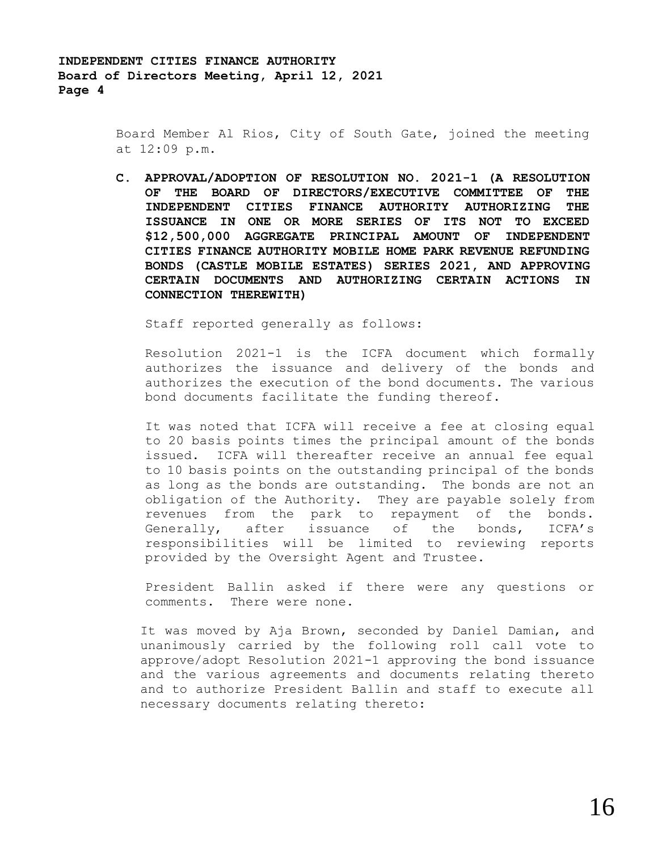Board Member Al Rios, City of South Gate, joined the meeting at 12:09 p.m.

**C. APPROVAL/ADOPTION OF RESOLUTION NO. 2021-1 (A RESOLUTION OF THE BOARD OF DIRECTORS/EXECUTIVE COMMITTEE OF THE INDEPENDENT CITIES FINANCE AUTHORITY AUTHORIZING THE ISSUANCE IN ONE OR MORE SERIES OF ITS NOT TO EXCEED \$12,500,000 AGGREGATE PRINCIPAL AMOUNT OF INDEPENDENT CITIES FINANCE AUTHORITY MOBILE HOME PARK REVENUE REFUNDING BONDS (CASTLE MOBILE ESTATES) SERIES 2021, AND APPROVING CERTAIN DOCUMENTS AND AUTHORIZING CERTAIN ACTIONS IN CONNECTION THEREWITH)**

Staff reported generally as follows:

Resolution 2021-1 is the ICFA document which formally authorizes the issuance and delivery of the bonds and authorizes the execution of the bond documents. The various bond documents facilitate the funding thereof.

It was noted that ICFA will receive a fee at closing equal to 20 basis points times the principal amount of the bonds issued. ICFA will thereafter receive an annual fee equal to 10 basis points on the outstanding principal of the bonds as long as the bonds are outstanding. The bonds are not an obligation of the Authority. They are payable solely from revenues from the park to repayment of the bonds. Generally, after issuance of the bonds, ICFA's responsibilities will be limited to reviewing reports provided by the Oversight Agent and Trustee.

President Ballin asked if there were any questions or comments. There were none.

It was moved by Aja Brown, seconded by Daniel Damian, and unanimously carried by the following roll call vote to approve/adopt Resolution 2021-1 approving the bond issuance and the various agreements and documents relating thereto and to authorize President Ballin and staff to execute all necessary documents relating thereto: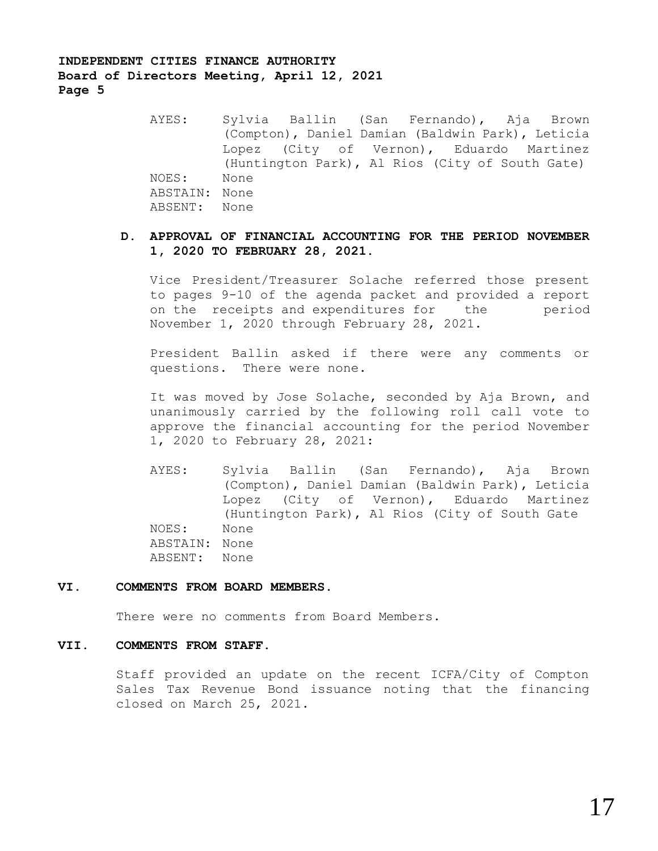**INDEPENDENT CITIES FINANCE AUTHORITY Board of Directors Meeting, April 12, 2021 Page 5**

> AYES: Sylvia Ballin (San Fernando), Aja Brown (Compton), Daniel Damian (Baldwin Park), Leticia Lopez (City of Vernon), Eduardo Martinez (Huntington Park), Al Rios (City of South Gate) NOES: None ABSTAIN: None ABSENT: None

#### **D. APPROVAL OF FINANCIAL ACCOUNTING FOR THE PERIOD NOVEMBER 1, 2020 TO FEBRUARY 28, 2021.**

Vice President/Treasurer Solache referred those present to pages 9-10 of the agenda packet and provided a report on the receipts and expenditures for the period November 1, 2020 through February 28, 2021.

President Ballin asked if there were any comments or questions. There were none.

It was moved by Jose Solache, seconded by Aja Brown, and unanimously carried by the following roll call vote to approve the financial accounting for the period November 1, 2020 to February 28, 2021:

AYES: Sylvia Ballin (San Fernando), Aja Brown (Compton), Daniel Damian (Baldwin Park), Leticia Lopez (City of Vernon), Eduardo Martinez (Huntington Park), Al Rios (City of South Gate NOES: None ABSTAIN: None ABSENT: None

#### **VI. COMMENTS FROM BOARD MEMBERS.**

There were no comments from Board Members.

#### **VII. COMMENTS FROM STAFF.**

Staff provided an update on the recent ICFA/City of Compton Sales Tax Revenue Bond issuance noting that the financing closed on March 25, 2021.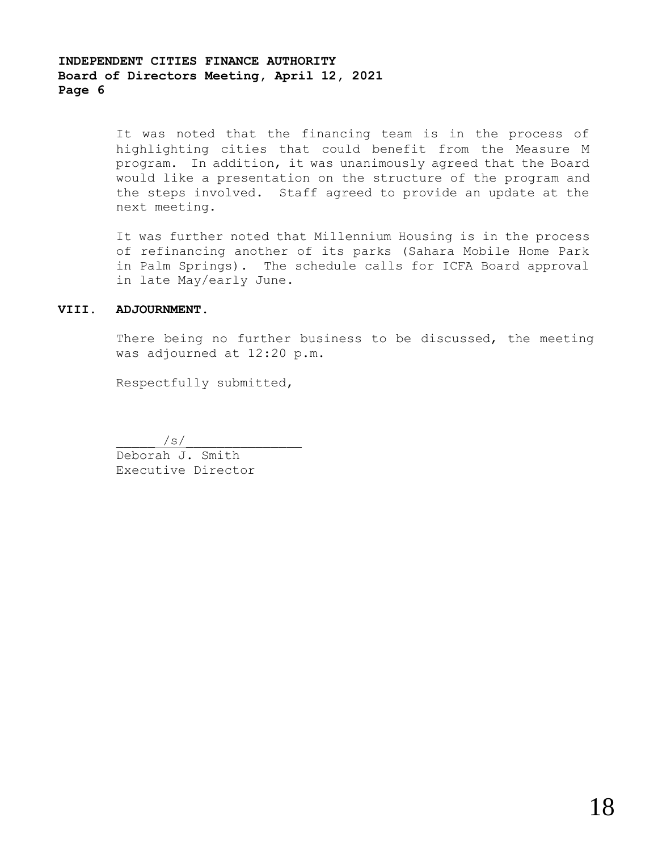## **INDEPENDENT CITIES FINANCE AUTHORITY Board of Directors Meeting, April 12, 2021 Page 6**

It was noted that the financing team is in the process of highlighting cities that could benefit from the Measure M program. In addition, it was unanimously agreed that the Board would like a presentation on the structure of the program and the steps involved. Staff agreed to provide an update at the next meeting.

It was further noted that Millennium Housing is in the process of refinancing another of its parks (Sahara Mobile Home Park in Palm Springs). The schedule calls for ICFA Board approval in late May/early June.

#### **VIII. ADJOURNMENT.**

There being no further business to be discussed, the meeting was adjourned at 12:20 p.m.

Respectfully submitted,

 $\sqrt{s}/$ 

Deborah J. Smith Executive Director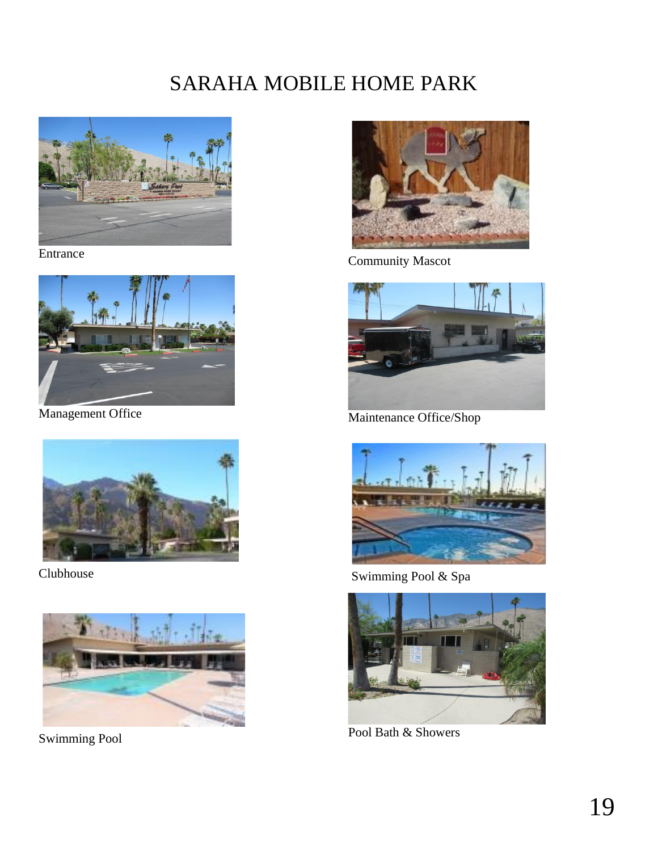# SARAHA MOBILE HOME PARK



Entrance



Management Office



Clubhouse



Swimming Pool



Community Mascot



Maintenance Office/Shop



Swimming Pool & Spa



Pool Bath & Showers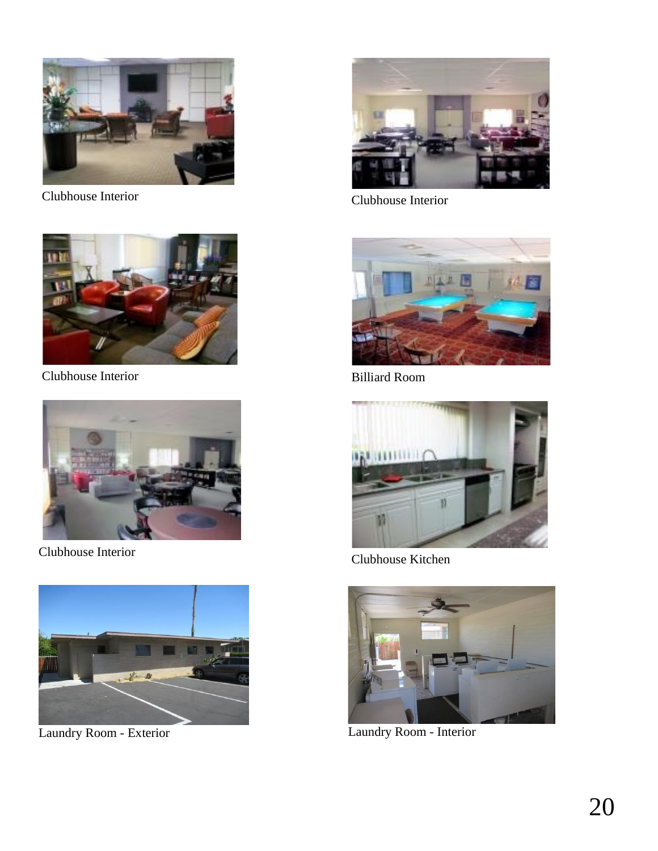

Clubhouse Interior



Clubhouse Interior



Clubhouse Interior



Laundry Room - Exterior



Clubhouse Interior



Billiard Room



Clubhouse Kitchen



Laundry Room - Interior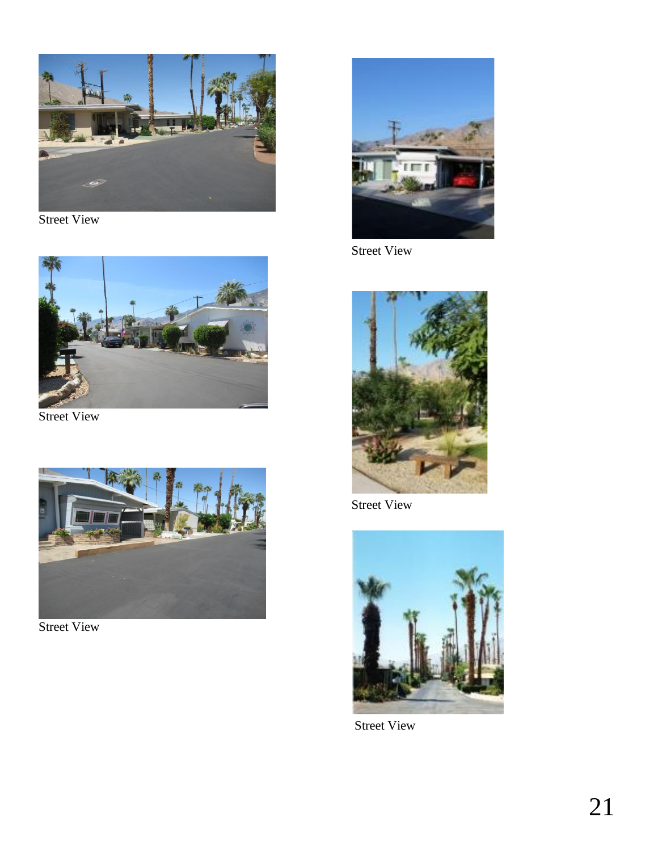

Street View



Street View



Street View



Street View



Street View



Street View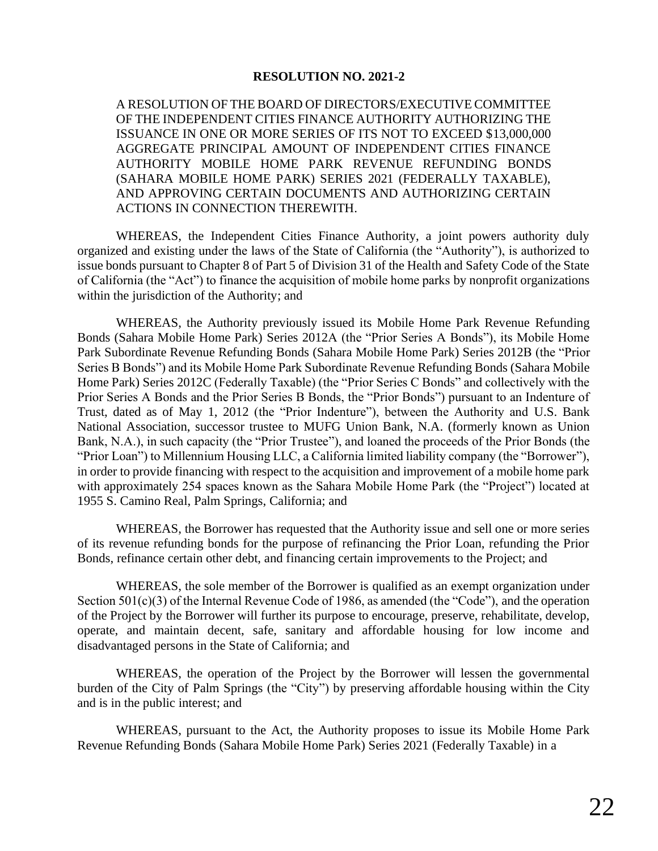## **RESOLUTION NO. 2021-2**

A RESOLUTION OF THE BOARD OF DIRECTORS/EXECUTIVE COMMITTEE OF THE INDEPENDENT CITIES FINANCE AUTHORITY AUTHORIZING THE ISSUANCE IN ONE OR MORE SERIES OF ITS NOT TO EXCEED \$13,000,000 AGGREGATE PRINCIPAL AMOUNT OF INDEPENDENT CITIES FINANCE AUTHORITY MOBILE HOME PARK REVENUE REFUNDING BONDS (SAHARA MOBILE HOME PARK) SERIES 2021 (FEDERALLY TAXABLE), AND APPROVING CERTAIN DOCUMENTS AND AUTHORIZING CERTAIN ACTIONS IN CONNECTION THEREWITH.

WHEREAS, the Independent Cities Finance Authority, a joint powers authority duly organized and existing under the laws of the State of California (the "Authority"), is authorized to issue bonds pursuant to Chapter 8 of Part 5 of Division 31 of the Health and Safety Code of the State of California (the "Act") to finance the acquisition of mobile home parks by nonprofit organizations within the jurisdiction of the Authority; and

WHEREAS, the Authority previously issued its Mobile Home Park Revenue Refunding Bonds (Sahara Mobile Home Park) Series 2012A (the "Prior Series A Bonds"), its Mobile Home Park Subordinate Revenue Refunding Bonds (Sahara Mobile Home Park) Series 2012B (the "Prior Series B Bonds") and its Mobile Home Park Subordinate Revenue Refunding Bonds (Sahara Mobile Home Park) Series 2012C (Federally Taxable) (the "Prior Series C Bonds" and collectively with the Prior Series A Bonds and the Prior Series B Bonds, the "Prior Bonds") pursuant to an Indenture of Trust, dated as of May 1, 2012 (the "Prior Indenture"), between the Authority and U.S. Bank National Association, successor trustee to MUFG Union Bank, N.A. (formerly known as Union Bank, N.A.), in such capacity (the "Prior Trustee"), and loaned the proceeds of the Prior Bonds (the "Prior Loan") to Millennium Housing LLC, a California limited liability company (the "Borrower"), in order to provide financing with respect to the acquisition and improvement of a mobile home park with approximately 254 spaces known as the Sahara Mobile Home Park (the "Project") located at 1955 S. Camino Real, Palm Springs, California; and

WHEREAS, the Borrower has requested that the Authority issue and sell one or more series of its revenue refunding bonds for the purpose of refinancing the Prior Loan, refunding the Prior Bonds, refinance certain other debt, and financing certain improvements to the Project; and

WHEREAS, the sole member of the Borrower is qualified as an exempt organization under Section 501(c)(3) of the Internal Revenue Code of 1986, as amended (the "Code"), and the operation of the Project by the Borrower will further its purpose to encourage, preserve, rehabilitate, develop, operate, and maintain decent, safe, sanitary and affordable housing for low income and disadvantaged persons in the State of California; and

WHEREAS, the operation of the Project by the Borrower will lessen the governmental burden of the City of Palm Springs (the "City") by preserving affordable housing within the City and is in the public interest; and

WHEREAS, pursuant to the Act, the Authority proposes to issue its Mobile Home Park Revenue Refunding Bonds (Sahara Mobile Home Park) Series 2021 (Federally Taxable) in a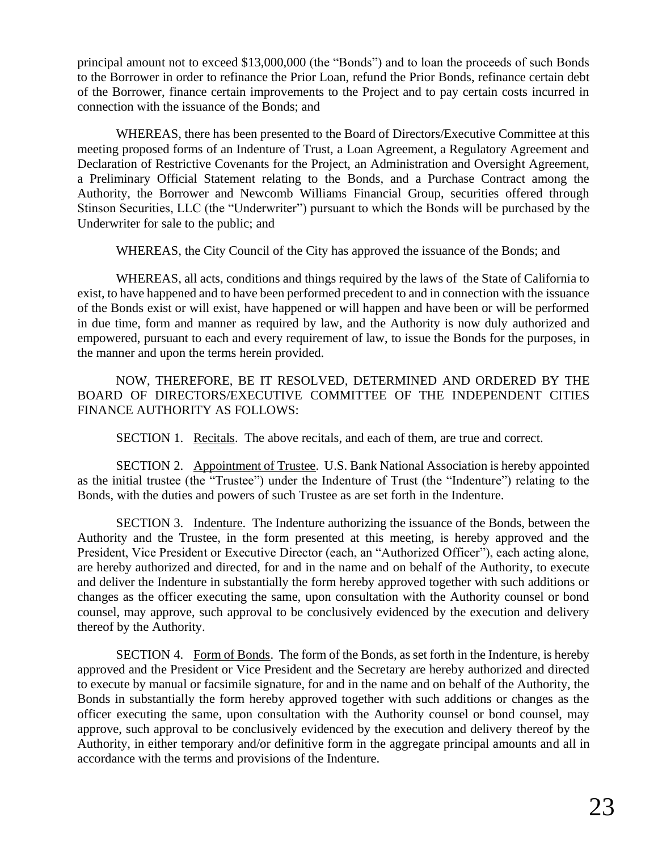principal amount not to exceed \$13,000,000 (the "Bonds") and to loan the proceeds of such Bonds to the Borrower in order to refinance the Prior Loan, refund the Prior Bonds, refinance certain debt of the Borrower, finance certain improvements to the Project and to pay certain costs incurred in connection with the issuance of the Bonds; and

WHEREAS, there has been presented to the Board of Directors/Executive Committee at this meeting proposed forms of an Indenture of Trust, a Loan Agreement, a Regulatory Agreement and Declaration of Restrictive Covenants for the Project, an Administration and Oversight Agreement, a Preliminary Official Statement relating to the Bonds, and a Purchase Contract among the Authority, the Borrower and Newcomb Williams Financial Group, securities offered through Stinson Securities, LLC (the "Underwriter") pursuant to which the Bonds will be purchased by the Underwriter for sale to the public; and

WHEREAS, the City Council of the City has approved the issuance of the Bonds; and

WHEREAS, all acts, conditions and things required by the laws of the State of California to exist, to have happened and to have been performed precedent to and in connection with the issuance of the Bonds exist or will exist, have happened or will happen and have been or will be performed in due time, form and manner as required by law, and the Authority is now duly authorized and empowered, pursuant to each and every requirement of law, to issue the Bonds for the purposes, in the manner and upon the terms herein provided.

NOW, THEREFORE, BE IT RESOLVED, DETERMINED AND ORDERED BY THE BOARD OF DIRECTORS/EXECUTIVE COMMITTEE OF THE INDEPENDENT CITIES FINANCE AUTHORITY AS FOLLOWS:

SECTION 1. Recitals. The above recitals, and each of them, are true and correct.

SECTION 2. Appointment of Trustee. U.S. Bank National Association is hereby appointed as the initial trustee (the "Trustee") under the Indenture of Trust (the "Indenture") relating to the Bonds, with the duties and powers of such Trustee as are set forth in the Indenture.

SECTION 3. Indenture. The Indenture authorizing the issuance of the Bonds, between the Authority and the Trustee, in the form presented at this meeting, is hereby approved and the President, Vice President or Executive Director (each, an "Authorized Officer"), each acting alone, are hereby authorized and directed, for and in the name and on behalf of the Authority, to execute and deliver the Indenture in substantially the form hereby approved together with such additions or changes as the officer executing the same, upon consultation with the Authority counsel or bond counsel, may approve, such approval to be conclusively evidenced by the execution and delivery thereof by the Authority.

SECTION 4. Form of Bonds. The form of the Bonds, as set forth in the Indenture, is hereby approved and the President or Vice President and the Secretary are hereby authorized and directed to execute by manual or facsimile signature, for and in the name and on behalf of the Authority, the Bonds in substantially the form hereby approved together with such additions or changes as the officer executing the same, upon consultation with the Authority counsel or bond counsel, may approve, such approval to be conclusively evidenced by the execution and delivery thereof by the Authority, in either temporary and/or definitive form in the aggregate principal amounts and all in accordance with the terms and provisions of the Indenture.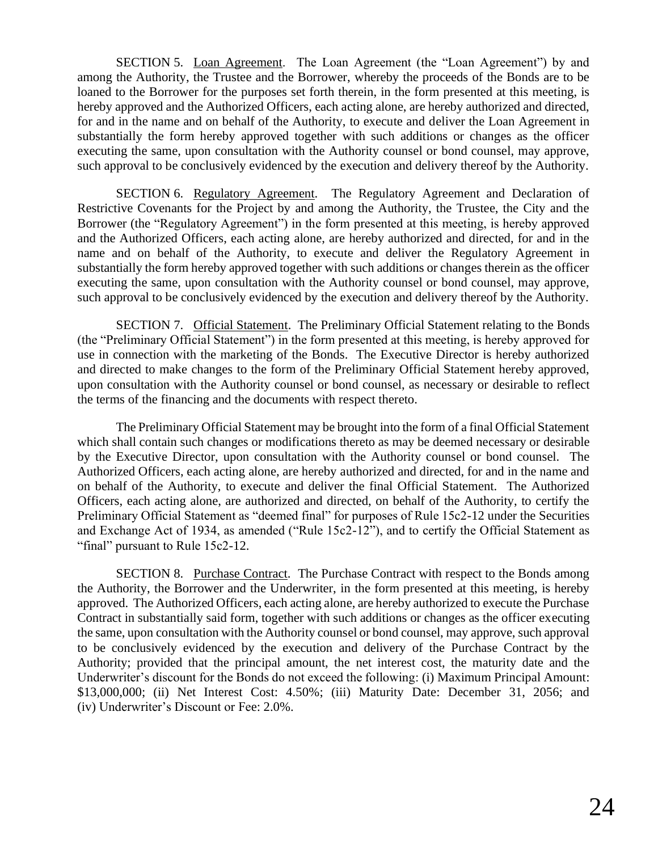SECTION 5. Loan Agreement. The Loan Agreement (the "Loan Agreement") by and among the Authority, the Trustee and the Borrower, whereby the proceeds of the Bonds are to be loaned to the Borrower for the purposes set forth therein, in the form presented at this meeting, is hereby approved and the Authorized Officers, each acting alone, are hereby authorized and directed, for and in the name and on behalf of the Authority, to execute and deliver the Loan Agreement in substantially the form hereby approved together with such additions or changes as the officer executing the same, upon consultation with the Authority counsel or bond counsel, may approve, such approval to be conclusively evidenced by the execution and delivery thereof by the Authority.

SECTION 6. Regulatory Agreement. The Regulatory Agreement and Declaration of Restrictive Covenants for the Project by and among the Authority, the Trustee, the City and the Borrower (the "Regulatory Agreement") in the form presented at this meeting, is hereby approved and the Authorized Officers, each acting alone, are hereby authorized and directed, for and in the name and on behalf of the Authority, to execute and deliver the Regulatory Agreement in substantially the form hereby approved together with such additions or changes therein as the officer executing the same, upon consultation with the Authority counsel or bond counsel, may approve, such approval to be conclusively evidenced by the execution and delivery thereof by the Authority.

SECTION 7. Official Statement. The Preliminary Official Statement relating to the Bonds (the "Preliminary Official Statement") in the form presented at this meeting, is hereby approved for use in connection with the marketing of the Bonds. The Executive Director is hereby authorized and directed to make changes to the form of the Preliminary Official Statement hereby approved, upon consultation with the Authority counsel or bond counsel, as necessary or desirable to reflect the terms of the financing and the documents with respect thereto.

The Preliminary Official Statement may be brought into the form of a final Official Statement which shall contain such changes or modifications thereto as may be deemed necessary or desirable by the Executive Director, upon consultation with the Authority counsel or bond counsel. The Authorized Officers, each acting alone, are hereby authorized and directed, for and in the name and on behalf of the Authority, to execute and deliver the final Official Statement. The Authorized Officers, each acting alone, are authorized and directed, on behalf of the Authority, to certify the Preliminary Official Statement as "deemed final" for purposes of Rule 15c2-12 under the Securities and Exchange Act of 1934, as amended ("Rule 15c2-12"), and to certify the Official Statement as "final" pursuant to Rule 15c2-12.

SECTION 8. Purchase Contract. The Purchase Contract with respect to the Bonds among the Authority, the Borrower and the Underwriter, in the form presented at this meeting, is hereby approved. The Authorized Officers, each acting alone, are hereby authorized to execute the Purchase Contract in substantially said form, together with such additions or changes as the officer executing the same, upon consultation with the Authority counsel or bond counsel, may approve, such approval to be conclusively evidenced by the execution and delivery of the Purchase Contract by the Authority; provided that the principal amount, the net interest cost, the maturity date and the Underwriter's discount for the Bonds do not exceed the following: (i) Maximum Principal Amount: \$13,000,000; (ii) Net Interest Cost: 4.50%; (iii) Maturity Date: December 31, 2056; and (iv) Underwriter's Discount or Fee: 2.0%.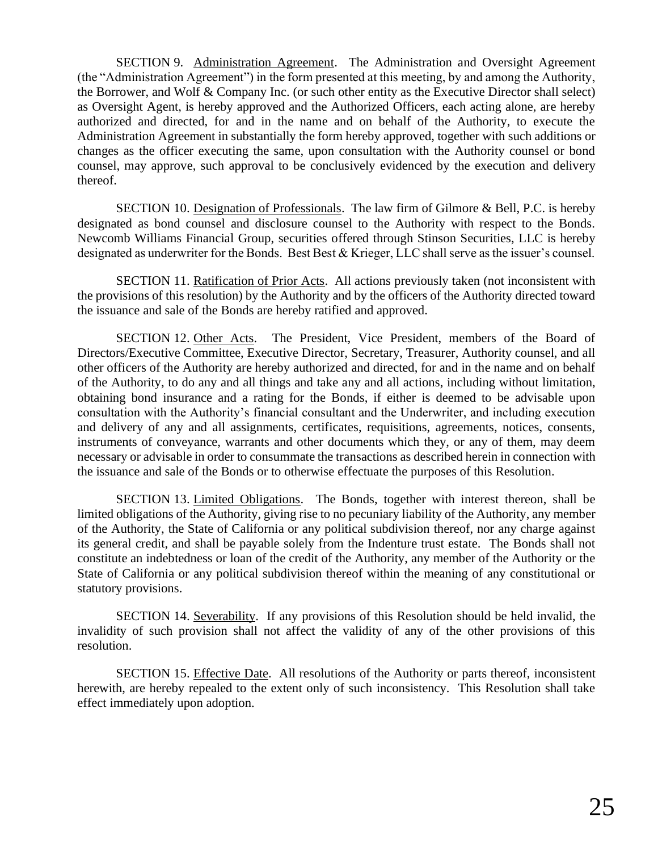SECTION 9. Administration Agreement. The Administration and Oversight Agreement (the "Administration Agreement") in the form presented at this meeting, by and among the Authority, the Borrower, and Wolf & Company Inc. (or such other entity as the Executive Director shall select) as Oversight Agent, is hereby approved and the Authorized Officers, each acting alone, are hereby authorized and directed, for and in the name and on behalf of the Authority, to execute the Administration Agreement in substantially the form hereby approved, together with such additions or changes as the officer executing the same, upon consultation with the Authority counsel or bond counsel, may approve, such approval to be conclusively evidenced by the execution and delivery thereof.

SECTION 10. Designation of Professionals. The law firm of Gilmore & Bell, P.C. is hereby designated as bond counsel and disclosure counsel to the Authority with respect to the Bonds. Newcomb Williams Financial Group, securities offered through Stinson Securities, LLC is hereby designated as underwriter for the Bonds. Best Best & Krieger, LLC shall serve as the issuer's counsel.

SECTION 11. Ratification of Prior Acts. All actions previously taken (not inconsistent with the provisions of this resolution) by the Authority and by the officers of the Authority directed toward the issuance and sale of the Bonds are hereby ratified and approved.

SECTION 12. Other Acts. The President, Vice President, members of the Board of Directors/Executive Committee, Executive Director, Secretary, Treasurer, Authority counsel, and all other officers of the Authority are hereby authorized and directed, for and in the name and on behalf of the Authority, to do any and all things and take any and all actions, including without limitation, obtaining bond insurance and a rating for the Bonds, if either is deemed to be advisable upon consultation with the Authority's financial consultant and the Underwriter, and including execution and delivery of any and all assignments, certificates, requisitions, agreements, notices, consents, instruments of conveyance, warrants and other documents which they, or any of them, may deem necessary or advisable in order to consummate the transactions as described herein in connection with the issuance and sale of the Bonds or to otherwise effectuate the purposes of this Resolution.

SECTION 13. Limited Obligations. The Bonds, together with interest thereon, shall be limited obligations of the Authority, giving rise to no pecuniary liability of the Authority, any member of the Authority, the State of California or any political subdivision thereof, nor any charge against its general credit, and shall be payable solely from the Indenture trust estate. The Bonds shall not constitute an indebtedness or loan of the credit of the Authority, any member of the Authority or the State of California or any political subdivision thereof within the meaning of any constitutional or statutory provisions.

SECTION 14. Severability. If any provisions of this Resolution should be held invalid, the invalidity of such provision shall not affect the validity of any of the other provisions of this resolution.

SECTION 15. Effective Date. All resolutions of the Authority or parts thereof, inconsistent herewith, are hereby repealed to the extent only of such inconsistency. This Resolution shall take effect immediately upon adoption.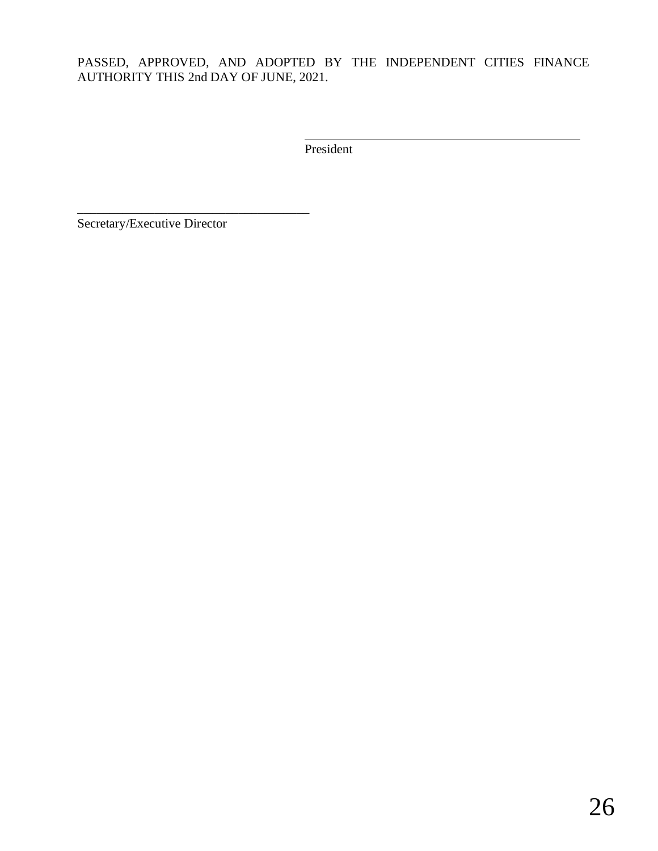# PASSED, APPROVED, AND ADOPTED BY THE INDEPENDENT CITIES FINANCE AUTHORITY THIS 2nd DAY OF JUNE, 2021.

President

Secretary/Executive Director

\_\_\_\_\_\_\_\_\_\_\_\_\_\_\_\_\_\_\_\_\_\_\_\_\_\_\_\_\_\_\_\_\_\_\_\_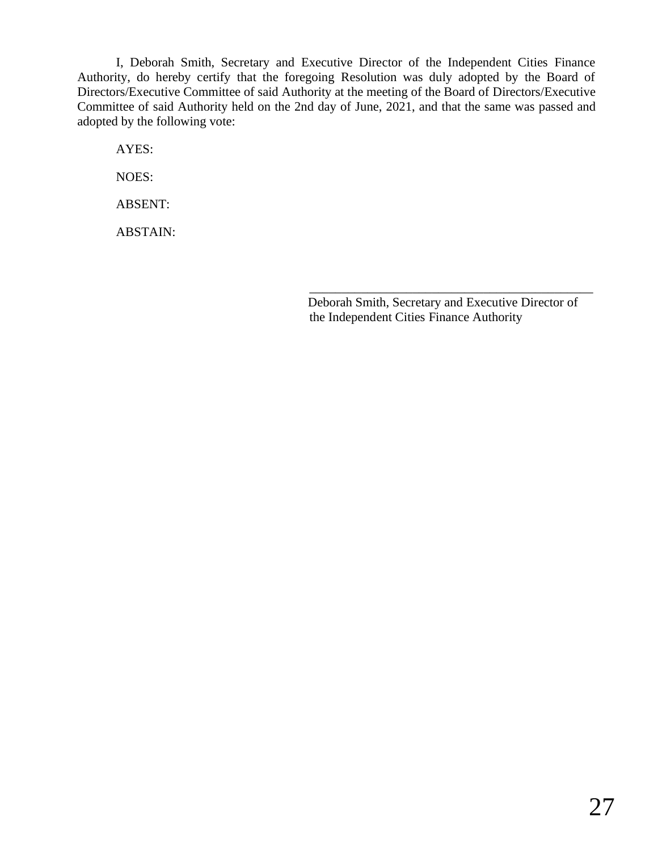I, Deborah Smith, Secretary and Executive Director of the Independent Cities Finance Authority, do hereby certify that the foregoing Resolution was duly adopted by the Board of Directors/Executive Committee of said Authority at the meeting of the Board of Directors/Executive Committee of said Authority held on the 2nd day of June, 2021, and that the same was passed and adopted by the following vote:

AYES:

NOES:

ABSENT:

ABSTAIN:

Deborah Smith, Secretary and Executive Director of the Independent Cities Finance Authority

\_\_\_\_\_\_\_\_\_\_\_\_\_\_\_\_\_\_\_\_\_\_\_\_\_\_\_\_\_\_\_\_\_\_\_\_\_\_\_\_\_\_\_\_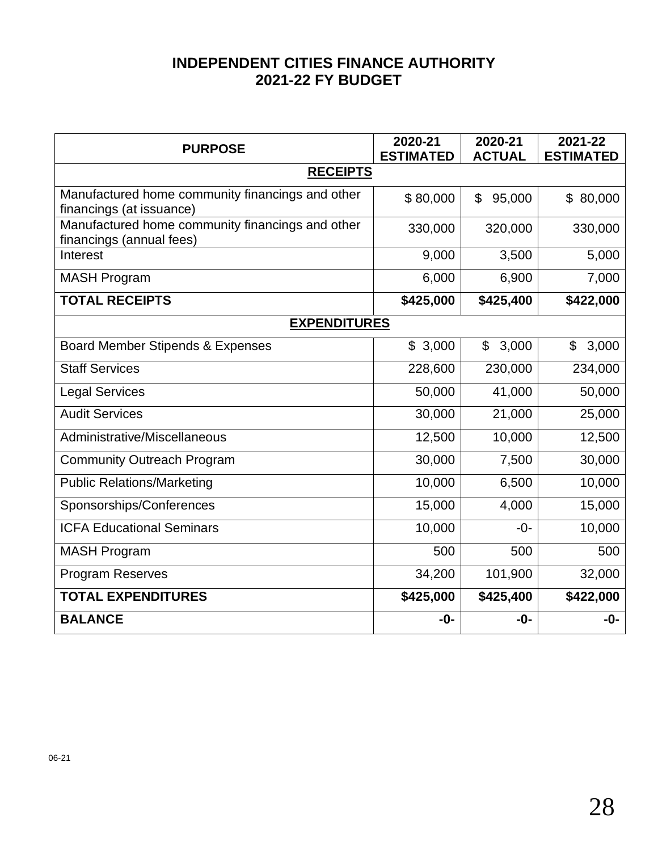# **INDEPENDENT CITIES FINANCE AUTHORITY 2021-22 FY BUDGET**

| <b>PURPOSE</b>                                                               | 2020-21<br><b>ESTIMATED</b> | 2020-21<br><b>ACTUAL</b> | 2021-22<br><b>ESTIMATED</b> |
|------------------------------------------------------------------------------|-----------------------------|--------------------------|-----------------------------|
| <b>RECEIPTS</b>                                                              |                             |                          |                             |
| Manufactured home community financings and other<br>financings (at issuance) | \$80,000                    | 95,000<br>\$             | \$80,000                    |
| Manufactured home community financings and other<br>financings (annual fees) | 330,000                     | 320,000                  | 330,000                     |
| Interest                                                                     | 9,000                       | 3,500                    | 5,000                       |
| <b>MASH Program</b>                                                          | 6,000                       | 6,900                    | 7,000                       |
| <b>TOTAL RECEIPTS</b>                                                        | \$425,000                   | \$425,400                | \$422,000                   |
| <b>EXPENDITURES</b>                                                          |                             |                          |                             |
| <b>Board Member Stipends &amp; Expenses</b>                                  | \$3,000                     | 3,000<br>$\mathfrak{S}$  | 3,000<br>\$                 |
| <b>Staff Services</b>                                                        | 228,600                     | 230,000                  | 234,000                     |
| <b>Legal Services</b>                                                        | 50,000                      | 41,000                   | 50,000                      |
| <b>Audit Services</b>                                                        | 30,000                      | 21,000                   | 25,000                      |
| Administrative/Miscellaneous                                                 | 12,500                      | 10,000                   | 12,500                      |
| <b>Community Outreach Program</b>                                            | 30,000                      | 7,500                    | 30,000                      |
| <b>Public Relations/Marketing</b>                                            | 10,000                      | 6,500                    | 10,000                      |
| Sponsorships/Conferences                                                     | 15,000                      | 4,000                    | 15,000                      |
| <b>ICFA Educational Seminars</b>                                             | 10,000                      | $-0-$                    | 10,000                      |
| <b>MASH Program</b>                                                          | 500                         | 500                      | 500                         |
| <b>Program Reserves</b>                                                      | 34,200                      | 101,900                  | 32,000                      |
| <b>TOTAL EXPENDITURES</b>                                                    | \$425,000                   | \$425,400                | \$422,000                   |
| <b>BALANCE</b>                                                               | -0-                         | -0-                      | -0-                         |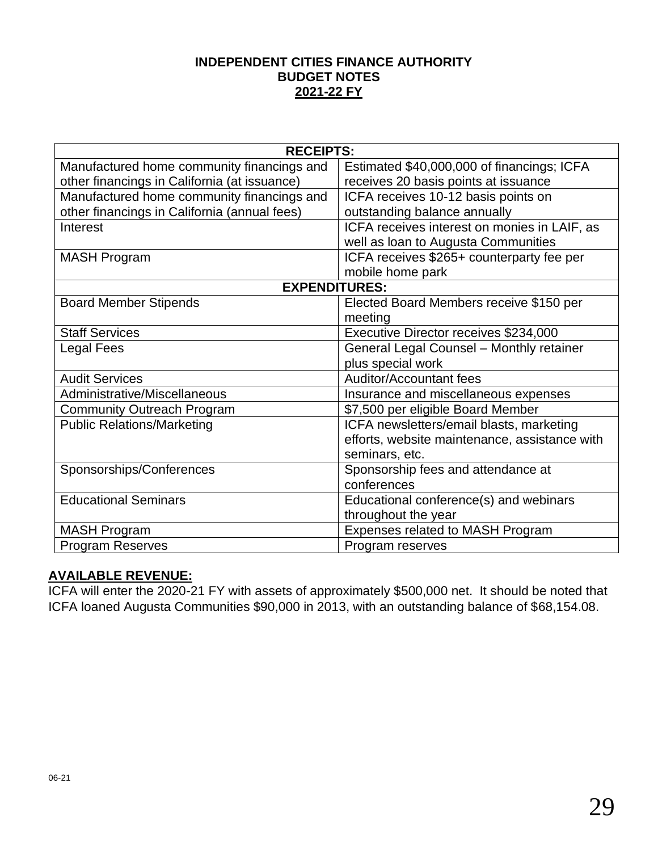## **INDEPENDENT CITIES FINANCE AUTHORITY BUDGET NOTES 2021-22 FY**

| <b>RECEIPTS:</b>                             |                                                                                     |  |
|----------------------------------------------|-------------------------------------------------------------------------------------|--|
| Manufactured home community financings and   | Estimated \$40,000,000 of financings; ICFA                                          |  |
| other financings in California (at issuance) | receives 20 basis points at issuance                                                |  |
| Manufactured home community financings and   | ICFA receives 10-12 basis points on                                                 |  |
| other financings in California (annual fees) | outstanding balance annually                                                        |  |
| Interest                                     | ICFA receives interest on monies in LAIF, as<br>well as loan to Augusta Communities |  |
| <b>MASH Program</b>                          | ICFA receives \$265+ counterparty fee per                                           |  |
|                                              | mobile home park                                                                    |  |
| <b>EXPENDITURES:</b>                         |                                                                                     |  |
| <b>Board Member Stipends</b>                 | Elected Board Members receive \$150 per                                             |  |
|                                              | meeting                                                                             |  |
| <b>Staff Services</b>                        | Executive Director receives \$234,000                                               |  |
| <b>Legal Fees</b>                            | General Legal Counsel - Monthly retainer                                            |  |
|                                              | plus special work                                                                   |  |
| <b>Audit Services</b>                        | <b>Auditor/Accountant fees</b>                                                      |  |
| Administrative/Miscellaneous                 | Insurance and miscellaneous expenses                                                |  |
| <b>Community Outreach Program</b>            | \$7,500 per eligible Board Member                                                   |  |
| <b>Public Relations/Marketing</b>            | ICFA newsletters/email blasts, marketing                                            |  |
|                                              | efforts, website maintenance, assistance with                                       |  |
|                                              | seminars, etc.                                                                      |  |
| Sponsorships/Conferences                     | Sponsorship fees and attendance at                                                  |  |
|                                              | conferences                                                                         |  |
| <b>Educational Seminars</b>                  | Educational conference(s) and webinars                                              |  |
|                                              | throughout the year                                                                 |  |
| <b>MASH Program</b>                          | Expenses related to MASH Program                                                    |  |
| <b>Program Reserves</b>                      | Program reserves                                                                    |  |

# **AVAILABLE REVENUE:**

ICFA will enter the 2020-21 FY with assets of approximately \$500,000 net. It should be noted that ICFA loaned Augusta Communities \$90,000 in 2013, with an outstanding balance of \$68,154.08.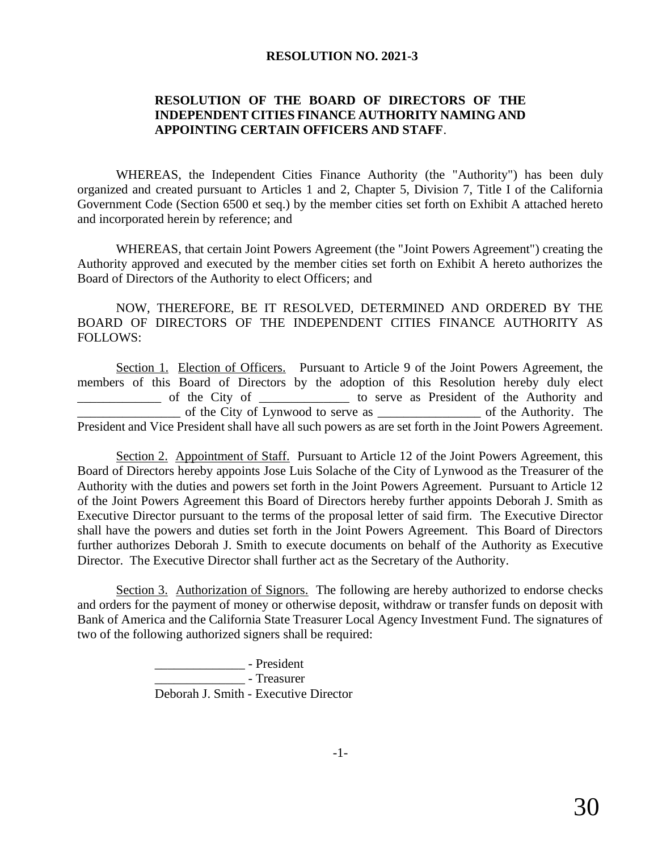#### **RESOLUTION NO. 2021-3**

## **RESOLUTION OF THE BOARD OF DIRECTORS OF THE INDEPENDENT CITIES FINANCE AUTHORITY NAMING AND APPOINTING CERTAIN OFFICERS AND STAFF**.

WHEREAS, the Independent Cities Finance Authority (the "Authority") has been duly organized and created pursuant to Articles 1 and 2, Chapter 5, Division 7, Title I of the California Government Code (Section 6500 et seq.) by the member cities set forth on Exhibit A attached hereto and incorporated herein by reference; and

WHEREAS, that certain Joint Powers Agreement (the "Joint Powers Agreement") creating the Authority approved and executed by the member cities set forth on Exhibit A hereto authorizes the Board of Directors of the Authority to elect Officers; and

NOW, THEREFORE, BE IT RESOLVED, DETERMINED AND ORDERED BY THE BOARD OF DIRECTORS OF THE INDEPENDENT CITIES FINANCE AUTHORITY AS FOLLOWS:

Section 1. Election of Officers. Pursuant to Article 9 of the Joint Powers Agreement, the members of this Board of Directors by the adoption of this Resolution hereby duly elect of the City of \_\_\_\_\_\_\_\_\_\_\_\_\_\_\_\_\_\_\_\_ to serve as President of the Authority and of the City of Lynwood to serve as \_\_\_\_\_\_\_\_\_\_\_\_\_\_\_\_\_\_\_\_\_\_\_\_\_\_ of the Authority. The President and Vice President shall have all such powers as are set forth in the Joint Powers Agreement.

Section 2. Appointment of Staff. Pursuant to Article 12 of the Joint Powers Agreement, this Board of Directors hereby appoints Jose Luis Solache of the City of Lynwood as the Treasurer of the Authority with the duties and powers set forth in the Joint Powers Agreement. Pursuant to Article 12 of the Joint Powers Agreement this Board of Directors hereby further appoints Deborah J. Smith as Executive Director pursuant to the terms of the proposal letter of said firm. The Executive Director shall have the powers and duties set forth in the Joint Powers Agreement. This Board of Directors further authorizes Deborah J. Smith to execute documents on behalf of the Authority as Executive Director. The Executive Director shall further act as the Secretary of the Authority.

Section 3. Authorization of Signors. The following are hereby authorized to endorse checks and orders for the payment of money or otherwise deposit, withdraw or transfer funds on deposit with Bank of America and the California State Treasurer Local Agency Investment Fund. The signatures of two of the following authorized signers shall be required:

> \_\_\_\_\_\_\_\_\_\_\_\_\_\_ - President \_\_\_\_\_\_\_\_\_\_\_\_\_\_ - Treasurer Deborah J. Smith - Executive Director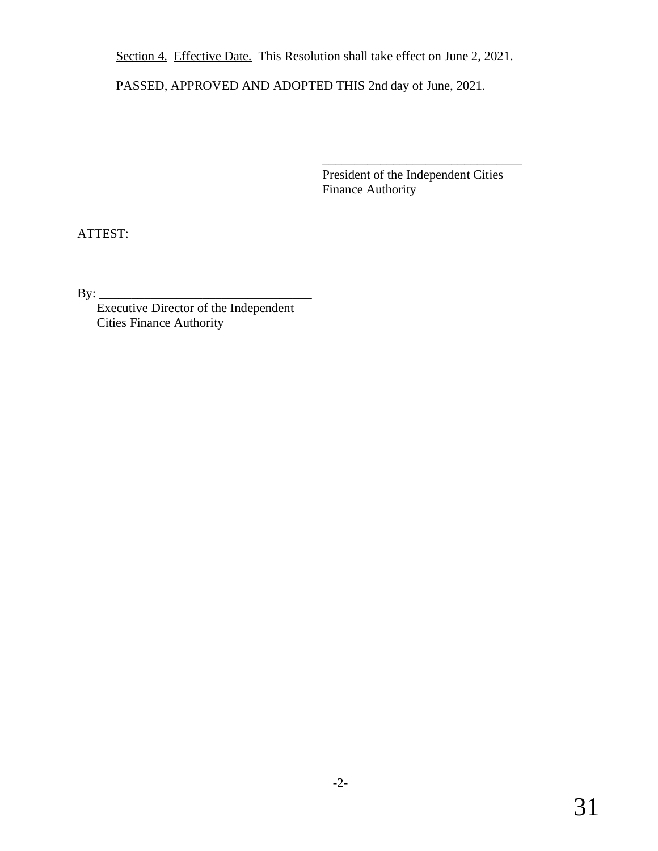Section 4. Effective Date. This Resolution shall take effect on June 2, 2021.

PASSED, APPROVED AND ADOPTED THIS 2nd day of June, 2021.

 President of the Independent Cities Finance Authority

 $\overline{\phantom{a}}$  , which is a set of the set of the set of the set of the set of the set of the set of the set of the set of the set of the set of the set of the set of the set of the set of the set of the set of the set of th

ATTEST:

By: \_\_\_\_\_\_\_\_\_\_\_\_\_\_\_\_\_\_\_\_\_\_\_\_\_\_\_\_\_\_\_\_\_

 Executive Director of the Independent Cities Finance Authority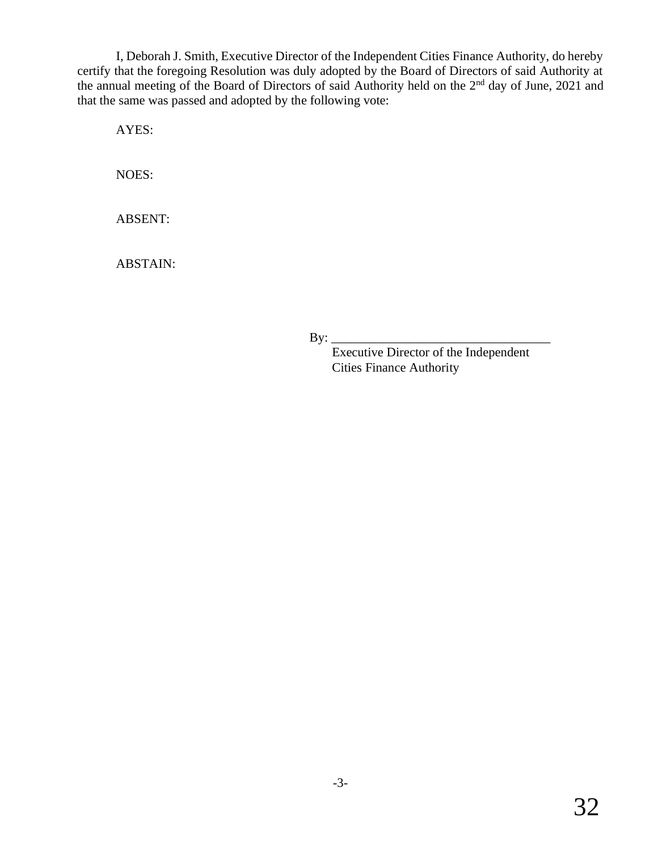I, Deborah J. Smith, Executive Director of the Independent Cities Finance Authority, do hereby certify that the foregoing Resolution was duly adopted by the Board of Directors of said Authority at the annual meeting of the Board of Directors of said Authority held on the 2<sup>nd</sup> day of June, 2021 and that the same was passed and adopted by the following vote:

AYES:

NOES:

ABSENT:

ABSTAIN:

By: \_\_\_\_\_\_\_\_\_\_\_\_\_\_\_\_\_\_\_\_\_\_\_\_\_\_\_\_\_\_\_\_\_\_

 Executive Director of the Independent Cities Finance Authority